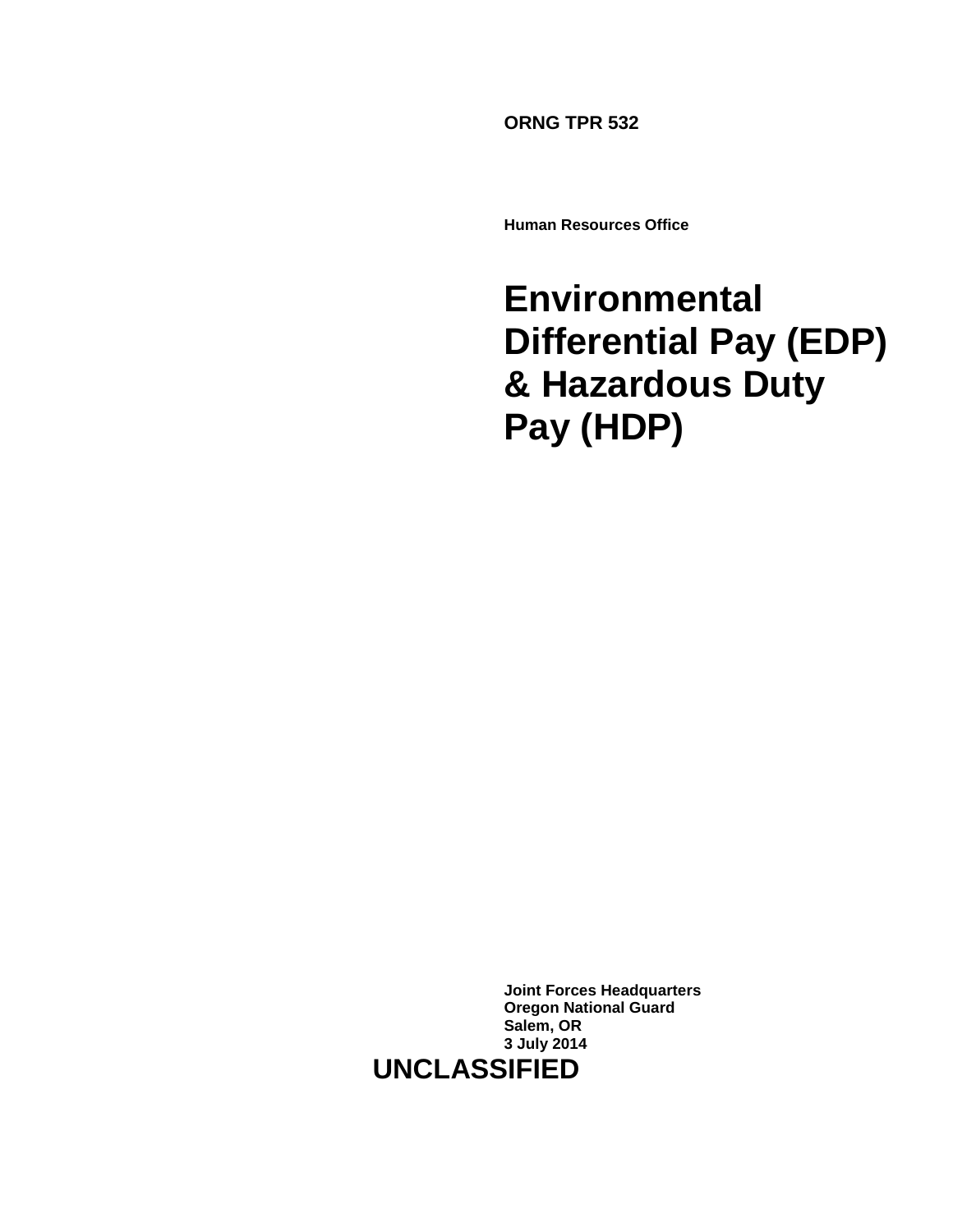**ORNG TPR 532**

**Human Resources Office**

# **Environmental Differential Pay (EDP) & Hazardous Duty Pay (HDP)**

**Joint Forces Headquarters Oregon National Guard Salem, OR 3 July 2014 UNCLASSIFIED**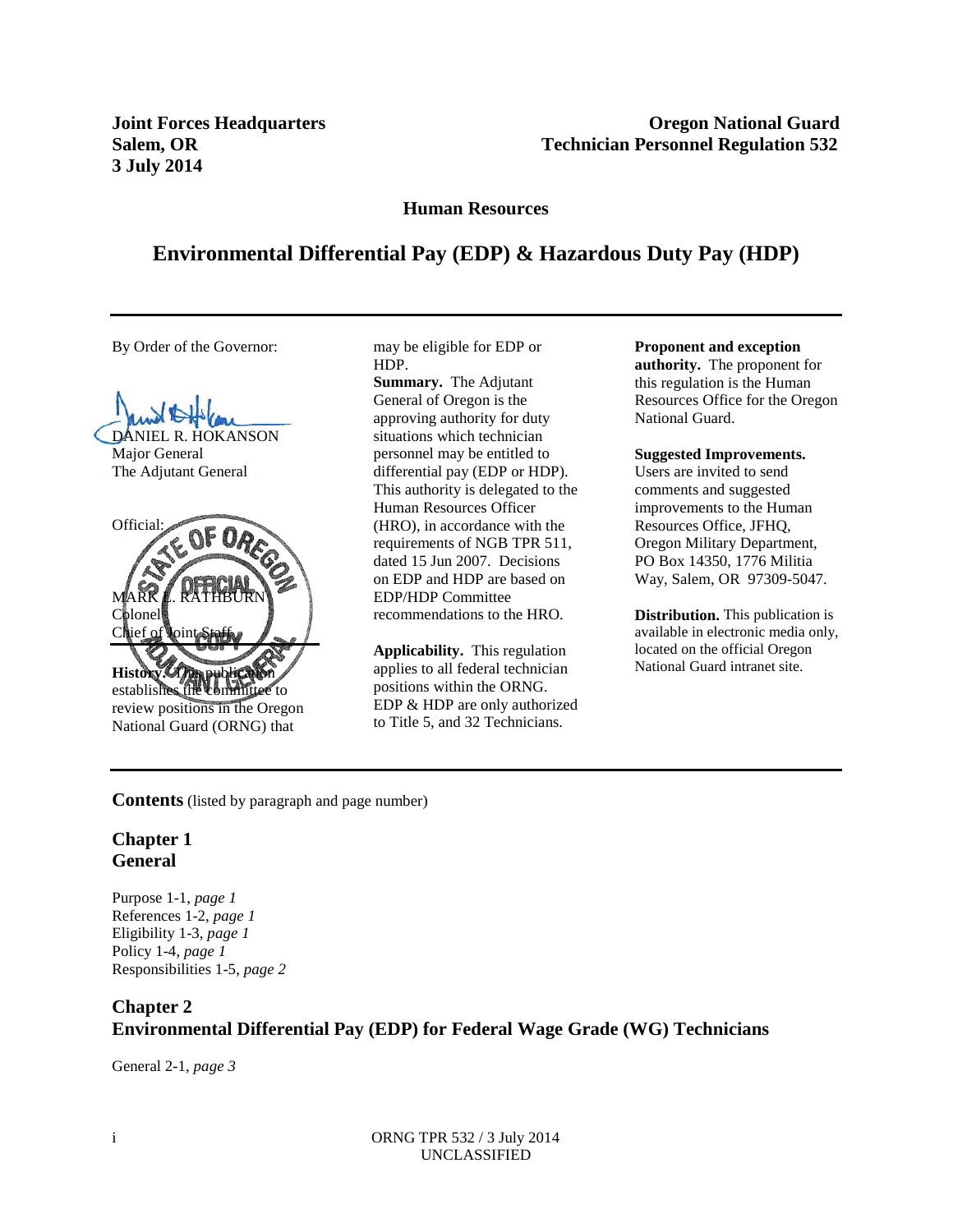**3 July 2014** 

**Joint Forces Headquarters**  The Company of the Company of Company of Company of Company of Company of Company of Company of Company of Company of Company of Company of Company of Company of Company of Company of Company o **Salem, OR Technician Personnel Regulation 532** 

**Human Resources**

### **Environmental Differential Pay (EDP) & Hazardous Duty Pay (HDP)**

By Order of the Governor:

DANIEL R. HOKANSON Major General The Adjutant General



National Guard (ORNG) that

may be eligible for EDP or HDP.

**Summary.** The Adjutant General of Oregon is the approving authority for duty situations which technician personnel may be entitled to differential pay (EDP or HDP). This authority is delegated to the Human Resources Officer (HRO), in accordance with the requirements of NGB TPR 511, dated 15 Jun 2007. Decisions on EDP and HDP are based on EDP/HDP Committee recommendations to the HRO.

**Applicability.** This regulation applies to all federal technician positions within the ORNG. EDP & HDP are only authorized to Title 5, and 32 Technicians.

#### **Proponent and exception**

**authority.** The proponent for this regulation is the Human Resources Office for the Oregon National Guard.

#### **Suggested Improvements.**

Users are invited to send comments and suggested improvements to the Human Resources Office, JFHQ, Oregon Military Department, PO Box 14350, 1776 Militia Way, Salem, OR 97309-5047.

**Distribution.** This publication is available in electronic media only, located on the official Oregon National Guard intranet site.

#### **Contents** (listed by paragraph and page number)

#### **Chapter 1 General**

Purpose 1-1, *page 1* References 1-2, *page 1* Eligibility 1-3, *page 1* Policy 1-4, *page 1* Responsibilities 1-5, *page 2*

### **Chapter 2 Environmental Differential Pay (EDP) for Federal Wage Grade (WG) Technicians**

General 2-1, *page 3*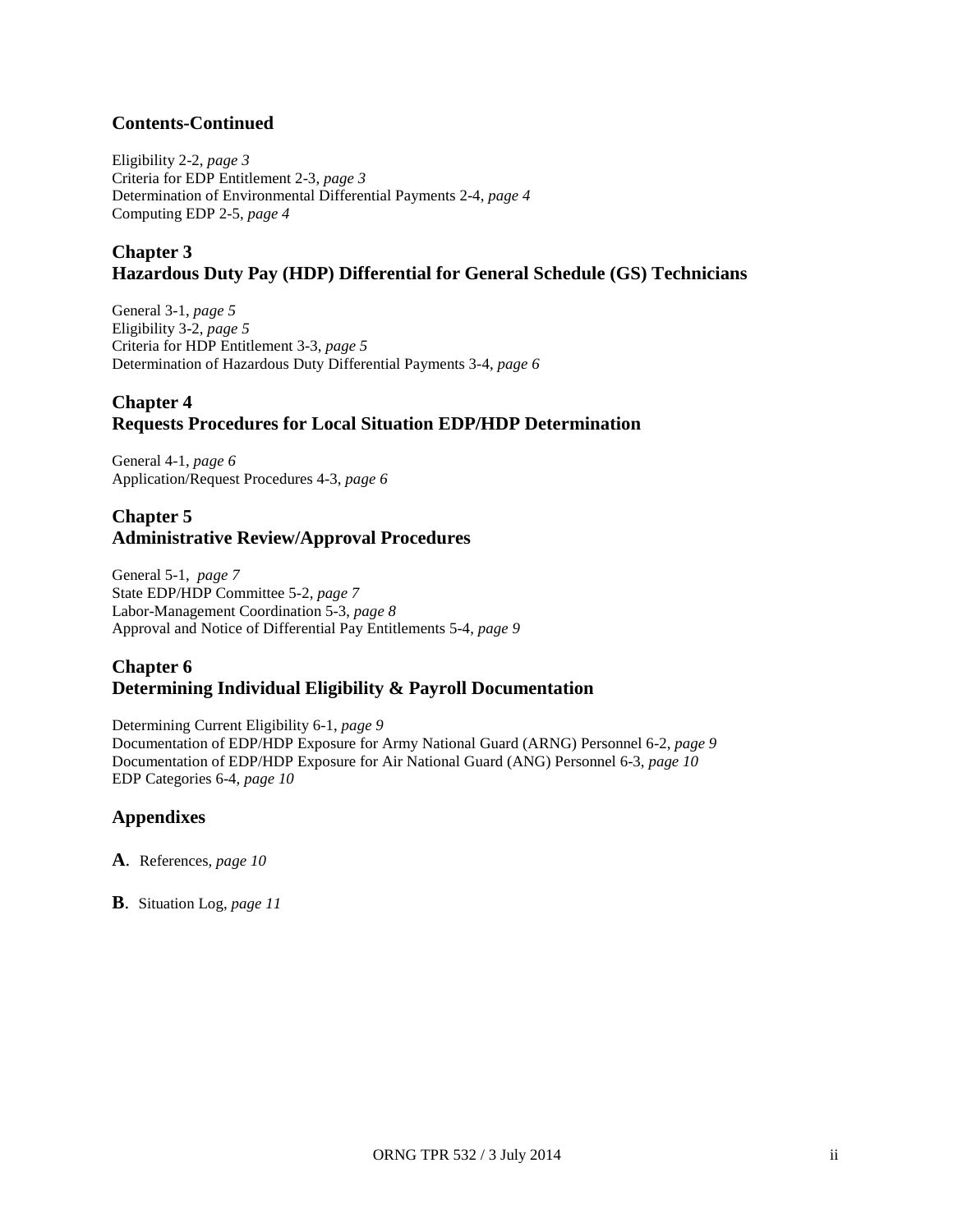### **Contents-Continued**

Eligibility 2-2, *page 3* Criteria for EDP Entitlement 2-3, *page 3* Determination of Environmental Differential Payments 2-4, *page 4* Computing EDP 2-5, *page 4*

### **Chapter 3 Hazardous Duty Pay (HDP) Differential for General Schedule (GS) Technicians**

General 3-1, *page 5* Eligibility 3-2, *page 5* Criteria for HDP Entitlement 3-3, *page 5* Determination of Hazardous Duty Differential Payments 3-4, *page 6*

### **Chapter 4 Requests Procedures for Local Situation EDP/HDP Determination**

General 4-1, *page 6* Application/Request Procedures 4-3, *page 6*

### **Chapter 5 Administrative Review/Approval Procedures**

General 5-1, *page 7* State EDP/HDP Committee 5-2, *page 7* Labor-Management Coordination 5-3, *page 8* Approval and Notice of Differential Pay Entitlements 5-4, *page 9*

### **Chapter 6 Determining Individual Eligibility & Payroll Documentation**

Determining Current Eligibility 6-1, *page 9*

Documentation of EDP/HDP Exposure for Army National Guard (ARNG) Personnel 6-2, *page 9* Documentation of EDP/HDP Exposure for Air National Guard (ANG) Personnel 6-3, *page 10* EDP Categories 6-4, *page 10*

### **Appendixes**

- **A**. References, *page 10*
- **B**. Situation Log, *page 11*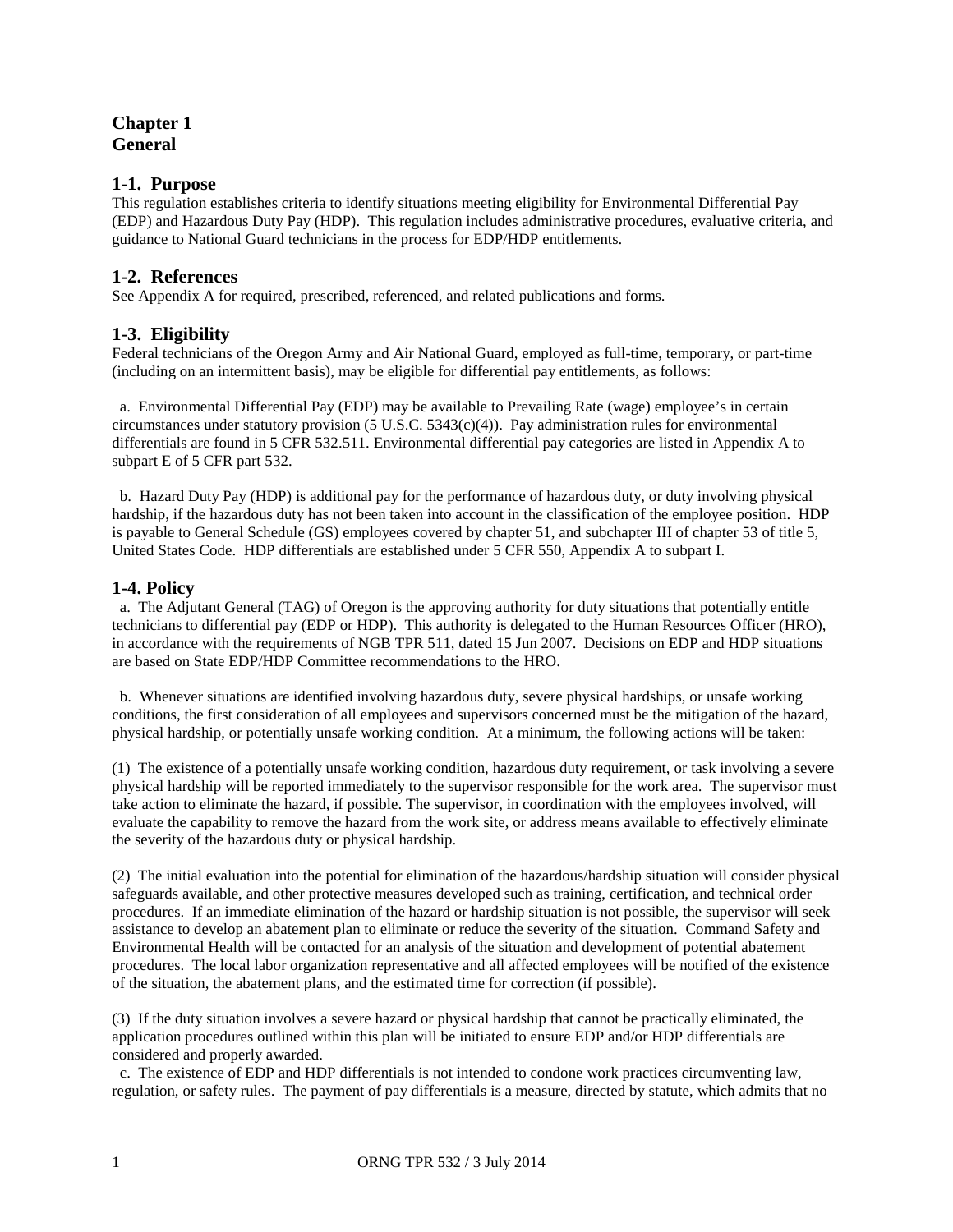### **Chapter 1 General**

#### **1-1. Purpose**

This regulation establishes criteria to identify situations meeting eligibility for Environmental Differential Pay (EDP) and Hazardous Duty Pay (HDP). This regulation includes administrative procedures, evaluative criteria, and guidance to National Guard technicians in the process for EDP/HDP entitlements.

#### **1-2. References**

See Appendix A for required, prescribed, referenced, and related publications and forms.

#### **1-3. Eligibility**

Federal technicians of the Oregon Army and Air National Guard, employed as full-time, temporary, or part-time (including on an intermittent basis), may be eligible for differential pay entitlements, as follows:

 a. Environmental Differential Pay (EDP) may be available to Prevailing Rate (wage) employee's in certain circumstances under statutory provision  $(5 \text{ U.S.C. } 5343 \text{ (c)}(4))$ . Pay administration rules for environmental differentials are found in 5 CFR 532.511. Environmental differential pay categories are listed in Appendix A to subpart E of 5 CFR part 532.

 b. Hazard Duty Pay (HDP) is additional pay for the performance of hazardous duty, or duty involving physical hardship, if the hazardous duty has not been taken into account in the classification of the employee position. HDP is payable to General Schedule (GS) employees covered by chapter 51, and subchapter III of chapter 53 of title 5, United States Code. HDP differentials are established under 5 CFR 550, Appendix A to subpart I.

#### **1-4. Policy**

a. The Adjutant General (TAG) of Oregon is the approving authority for duty situations that potentially entitle technicians to differential pay (EDP or HDP). This authority is delegated to the Human Resources Officer (HRO), in accordance with the requirements of NGB TPR 511, dated 15 Jun 2007. Decisions on EDP and HDP situations are based on State EDP/HDP Committee recommendations to the HRO.

 b. Whenever situations are identified involving hazardous duty, severe physical hardships, or unsafe working conditions, the first consideration of all employees and supervisors concerned must be the mitigation of the hazard, physical hardship, or potentially unsafe working condition. At a minimum, the following actions will be taken:

(1) The existence of a potentially unsafe working condition, hazardous duty requirement, or task involving a severe physical hardship will be reported immediately to the supervisor responsible for the work area. The supervisor must take action to eliminate the hazard, if possible. The supervisor, in coordination with the employees involved, will evaluate the capability to remove the hazard from the work site, or address means available to effectively eliminate the severity of the hazardous duty or physical hardship.

(2) The initial evaluation into the potential for elimination of the hazardous/hardship situation will consider physical safeguards available, and other protective measures developed such as training, certification, and technical order procedures. If an immediate elimination of the hazard or hardship situation is not possible, the supervisor will seek assistance to develop an abatement plan to eliminate or reduce the severity of the situation. Command Safety and Environmental Health will be contacted for an analysis of the situation and development of potential abatement procedures. The local labor organization representative and all affected employees will be notified of the existence of the situation, the abatement plans, and the estimated time for correction (if possible).

(3) If the duty situation involves a severe hazard or physical hardship that cannot be practically eliminated, the application procedures outlined within this plan will be initiated to ensure EDP and/or HDP differentials are considered and properly awarded.

 c. The existence of EDP and HDP differentials is not intended to condone work practices circumventing law, regulation, or safety rules. The payment of pay differentials is a measure, directed by statute, which admits that no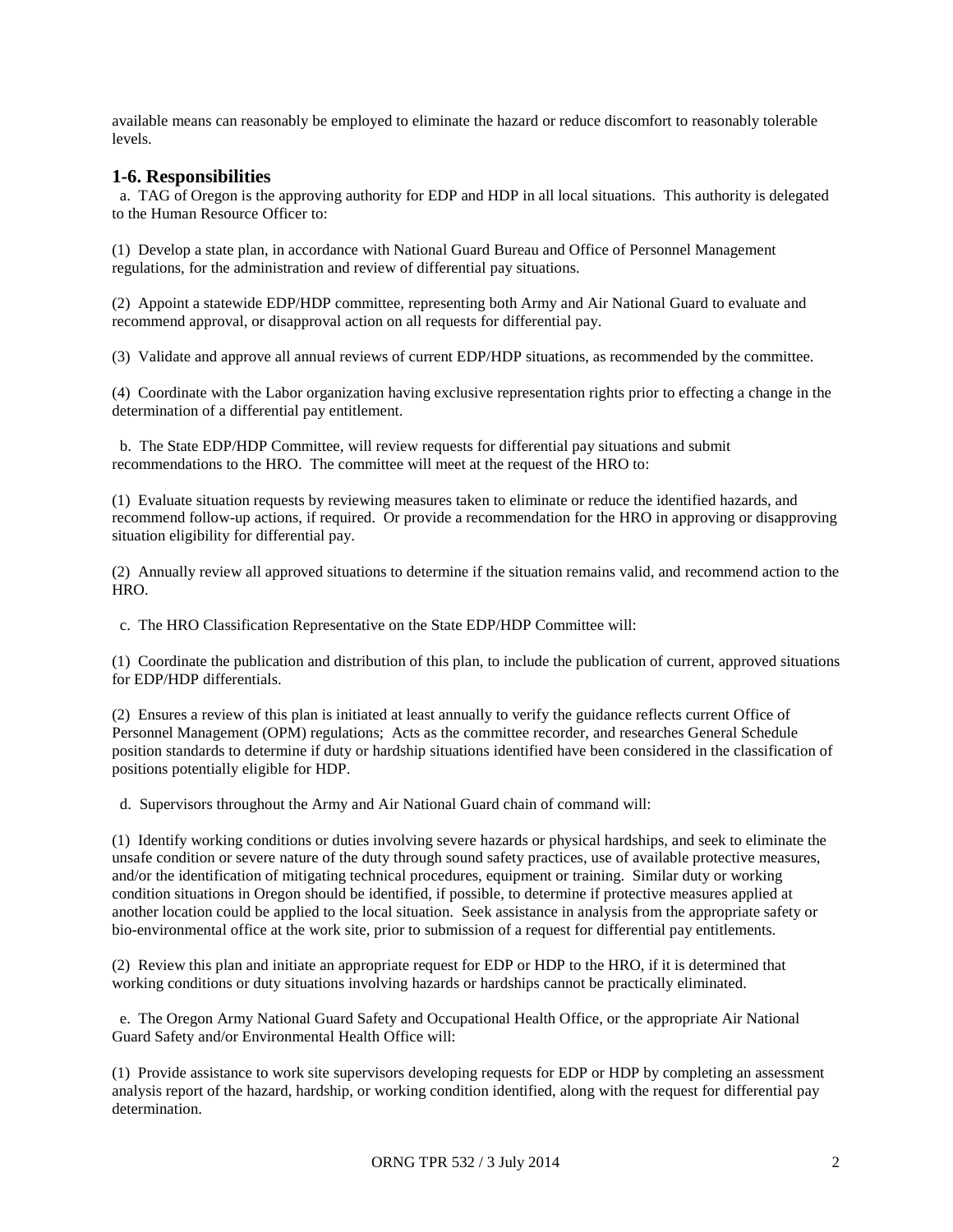available means can reasonably be employed to eliminate the hazard or reduce discomfort to reasonably tolerable levels.

#### **1-6. Responsibilities**

 a. TAG of Oregon is the approving authority for EDP and HDP in all local situations. This authority is delegated to the Human Resource Officer to:

(1) Develop a state plan, in accordance with National Guard Bureau and Office of Personnel Management regulations, for the administration and review of differential pay situations.

(2) Appoint a statewide EDP/HDP committee, representing both Army and Air National Guard to evaluate and recommend approval, or disapproval action on all requests for differential pay.

(3) Validate and approve all annual reviews of current EDP/HDP situations, as recommended by the committee.

(4) Coordinate with the Labor organization having exclusive representation rights prior to effecting a change in the determination of a differential pay entitlement.

 b. The State EDP/HDP Committee, will review requests for differential pay situations and submit recommendations to the HRO. The committee will meet at the request of the HRO to:

(1) Evaluate situation requests by reviewing measures taken to eliminate or reduce the identified hazards, and recommend follow-up actions, if required. Or provide a recommendation for the HRO in approving or disapproving situation eligibility for differential pay.

(2) Annually review all approved situations to determine if the situation remains valid, and recommend action to the HRO.

c. The HRO Classification Representative on the State EDP/HDP Committee will:

(1) Coordinate the publication and distribution of this plan, to include the publication of current, approved situations for EDP/HDP differentials.

(2) Ensures a review of this plan is initiated at least annually to verify the guidance reflects current Office of Personnel Management (OPM) regulations; Acts as the committee recorder, and researches General Schedule position standards to determine if duty or hardship situations identified have been considered in the classification of positions potentially eligible for HDP.

d. Supervisors throughout the Army and Air National Guard chain of command will:

(1) Identify working conditions or duties involving severe hazards or physical hardships, and seek to eliminate the unsafe condition or severe nature of the duty through sound safety practices, use of available protective measures, and/or the identification of mitigating technical procedures, equipment or training. Similar duty or working condition situations in Oregon should be identified, if possible, to determine if protective measures applied at another location could be applied to the local situation. Seek assistance in analysis from the appropriate safety or bio-environmental office at the work site, prior to submission of a request for differential pay entitlements.

(2) Review this plan and initiate an appropriate request for EDP or HDP to the HRO, if it is determined that working conditions or duty situations involving hazards or hardships cannot be practically eliminated.

 e. The Oregon Army National Guard Safety and Occupational Health Office, or the appropriate Air National Guard Safety and/or Environmental Health Office will:

(1) Provide assistance to work site supervisors developing requests for EDP or HDP by completing an assessment analysis report of the hazard, hardship, or working condition identified, along with the request for differential pay determination.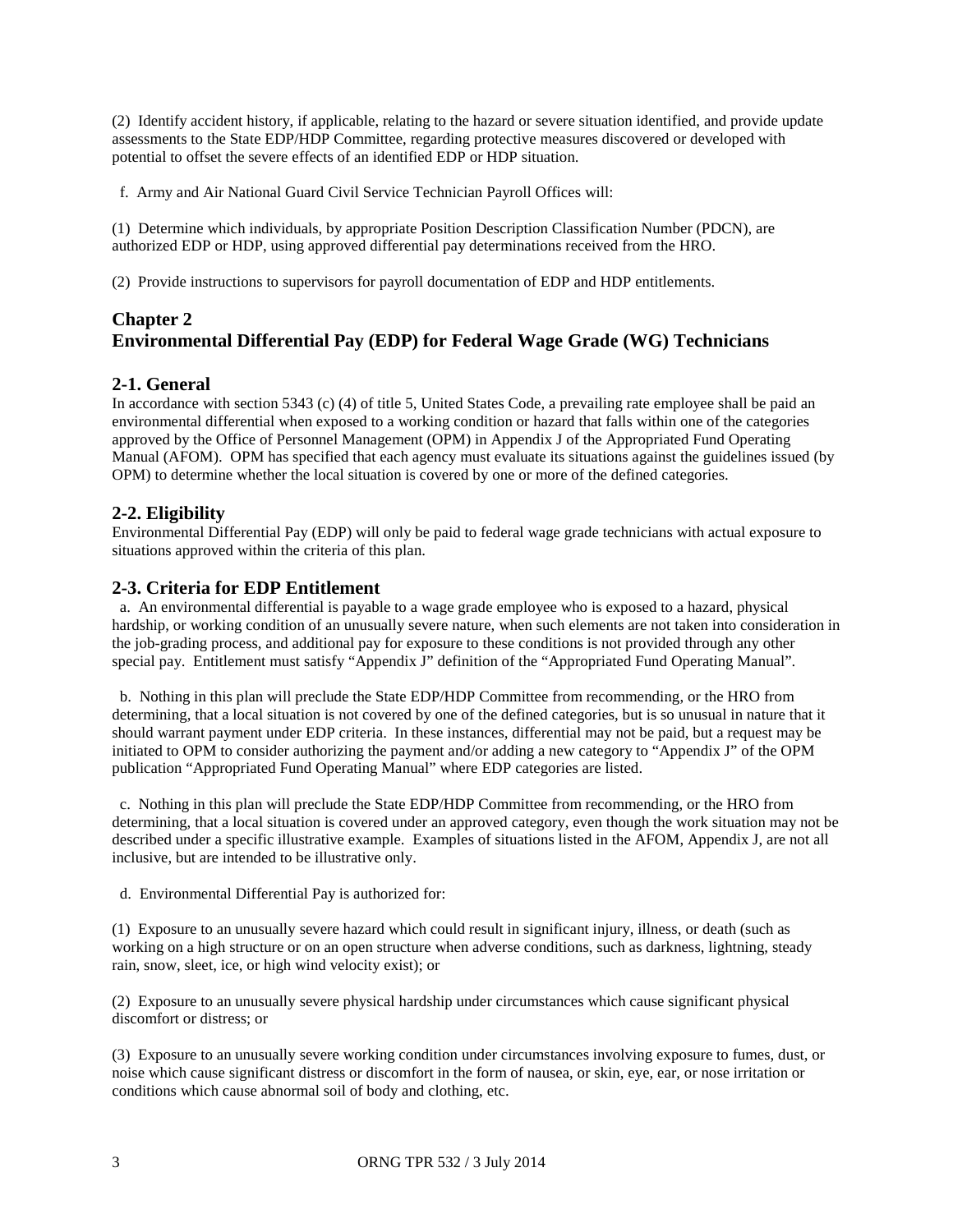(2) Identify accident history, if applicable, relating to the hazard or severe situation identified, and provide update assessments to the State EDP/HDP Committee, regarding protective measures discovered or developed with potential to offset the severe effects of an identified EDP or HDP situation.

f. Army and Air National Guard Civil Service Technician Payroll Offices will:

(1) Determine which individuals, by appropriate Position Description Classification Number (PDCN), are authorized EDP or HDP, using approved differential pay determinations received from the HRO.

(2) Provide instructions to supervisors for payroll documentation of EDP and HDP entitlements.

### **Chapter 2 Environmental Differential Pay (EDP) for Federal Wage Grade (WG) Technicians**

#### **2-1. General**

In accordance with section 5343 (c) (4) of title 5, United States Code, a prevailing rate employee shall be paid an environmental differential when exposed to a working condition or hazard that falls within one of the categories approved by the Office of Personnel Management (OPM) in Appendix J of the Appropriated Fund Operating Manual (AFOM). OPM has specified that each agency must evaluate its situations against the guidelines issued (by OPM) to determine whether the local situation is covered by one or more of the defined categories.

### **2-2. Eligibility**

Environmental Differential Pay (EDP) will only be paid to federal wage grade technicians with actual exposure to situations approved within the criteria of this plan.

#### **2-3. Criteria for EDP Entitlement**

 a. An environmental differential is payable to a wage grade employee who is exposed to a hazard, physical hardship, or working condition of an unusually severe nature, when such elements are not taken into consideration in the job-grading process, and additional pay for exposure to these conditions is not provided through any other special pay. Entitlement must satisfy "Appendix J" definition of the "Appropriated Fund Operating Manual".

 b. Nothing in this plan will preclude the State EDP/HDP Committee from recommending, or the HRO from determining, that a local situation is not covered by one of the defined categories, but is so unusual in nature that it should warrant payment under EDP criteria. In these instances, differential may not be paid, but a request may be initiated to OPM to consider authorizing the payment and/or adding a new category to "Appendix J" of the OPM publication "Appropriated Fund Operating Manual" where EDP categories are listed.

 c. Nothing in this plan will preclude the State EDP/HDP Committee from recommending, or the HRO from determining, that a local situation is covered under an approved category, even though the work situation may not be described under a specific illustrative example. Examples of situations listed in the AFOM, Appendix J, are not all inclusive, but are intended to be illustrative only.

d. Environmental Differential Pay is authorized for:

(1) Exposure to an unusually severe hazard which could result in significant injury, illness, or death (such as working on a high structure or on an open structure when adverse conditions, such as darkness, lightning, steady rain, snow, sleet, ice, or high wind velocity exist); or

(2) Exposure to an unusually severe physical hardship under circumstances which cause significant physical discomfort or distress; or

(3) Exposure to an unusually severe working condition under circumstances involving exposure to fumes, dust, or noise which cause significant distress or discomfort in the form of nausea, or skin, eye, ear, or nose irritation or conditions which cause abnormal soil of body and clothing, etc.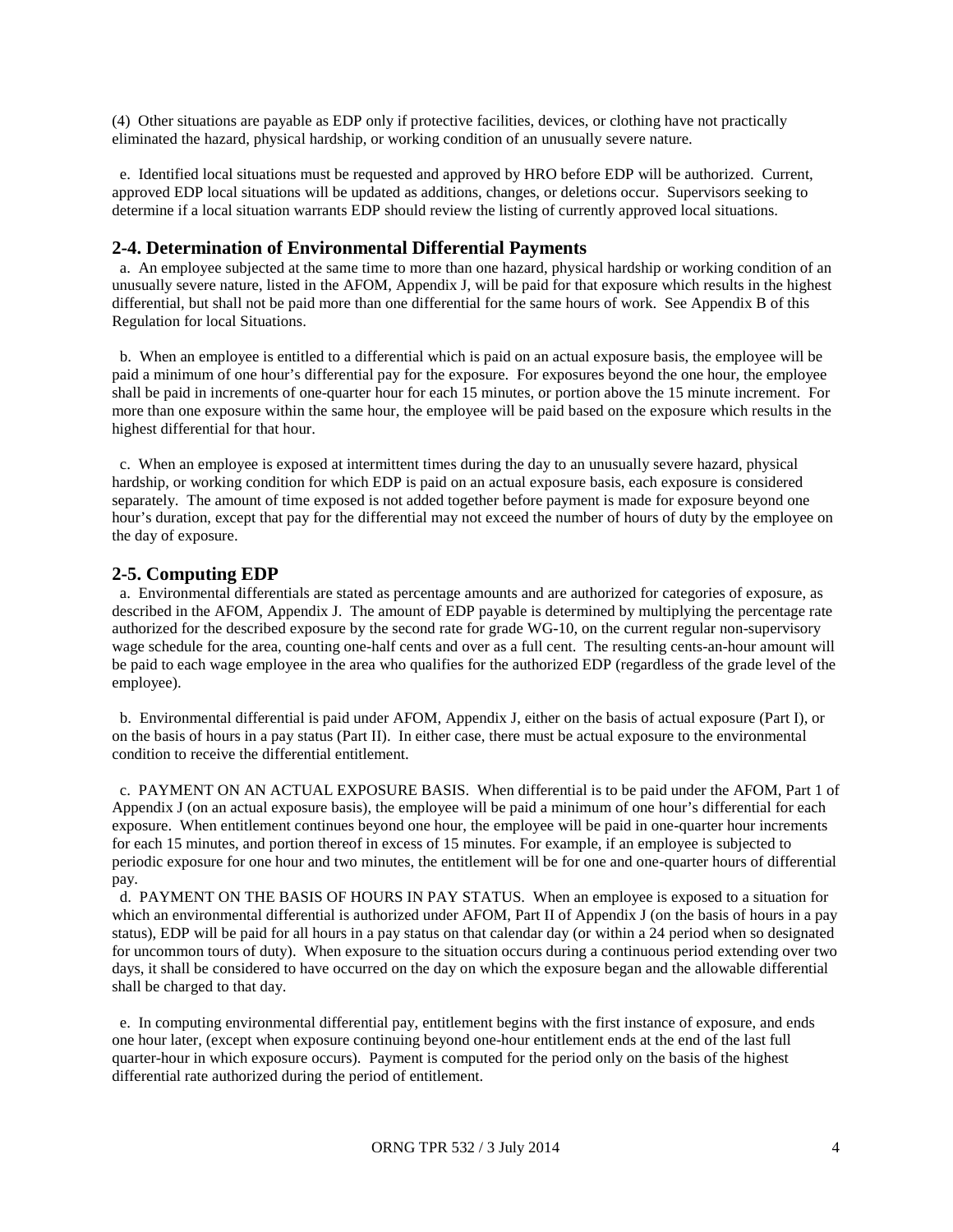(4) Other situations are payable as EDP only if protective facilities, devices, or clothing have not practically eliminated the hazard, physical hardship, or working condition of an unusually severe nature.

 e. Identified local situations must be requested and approved by HRO before EDP will be authorized. Current, approved EDP local situations will be updated as additions, changes, or deletions occur. Supervisors seeking to determine if a local situation warrants EDP should review the listing of currently approved local situations.

#### **2-4. Determination of Environmental Differential Payments**

 a. An employee subjected at the same time to more than one hazard, physical hardship or working condition of an unusually severe nature, listed in the AFOM, Appendix J, will be paid for that exposure which results in the highest differential, but shall not be paid more than one differential for the same hours of work. See Appendix B of this Regulation for local Situations.

 b. When an employee is entitled to a differential which is paid on an actual exposure basis, the employee will be paid a minimum of one hour's differential pay for the exposure. For exposures beyond the one hour, the employee shall be paid in increments of one-quarter hour for each 15 minutes, or portion above the 15 minute increment. For more than one exposure within the same hour, the employee will be paid based on the exposure which results in the highest differential for that hour.

 c. When an employee is exposed at intermittent times during the day to an unusually severe hazard, physical hardship, or working condition for which EDP is paid on an actual exposure basis, each exposure is considered separately. The amount of time exposed is not added together before payment is made for exposure beyond one hour's duration, except that pay for the differential may not exceed the number of hours of duty by the employee on the day of exposure.

#### **2-5. Computing EDP**

 a. Environmental differentials are stated as percentage amounts and are authorized for categories of exposure, as described in the AFOM, Appendix J. The amount of EDP payable is determined by multiplying the percentage rate authorized for the described exposure by the second rate for grade WG-10, on the current regular non-supervisory wage schedule for the area, counting one-half cents and over as a full cent. The resulting cents-an-hour amount will be paid to each wage employee in the area who qualifies for the authorized EDP (regardless of the grade level of the employee).

 b. Environmental differential is paid under AFOM, Appendix J, either on the basis of actual exposure (Part I), or on the basis of hours in a pay status (Part II). In either case, there must be actual exposure to the environmental condition to receive the differential entitlement.

 c. PAYMENT ON AN ACTUAL EXPOSURE BASIS. When differential is to be paid under the AFOM, Part 1 of Appendix J (on an actual exposure basis), the employee will be paid a minimum of one hour's differential for each exposure. When entitlement continues beyond one hour, the employee will be paid in one-quarter hour increments for each 15 minutes, and portion thereof in excess of 15 minutes. For example, if an employee is subjected to periodic exposure for one hour and two minutes, the entitlement will be for one and one-quarter hours of differential pay.

 d. PAYMENT ON THE BASIS OF HOURS IN PAY STATUS. When an employee is exposed to a situation for which an environmental differential is authorized under AFOM, Part II of Appendix J (on the basis of hours in a pay status), EDP will be paid for all hours in a pay status on that calendar day (or within a 24 period when so designated for uncommon tours of duty). When exposure to the situation occurs during a continuous period extending over two days, it shall be considered to have occurred on the day on which the exposure began and the allowable differential shall be charged to that day.

 e. In computing environmental differential pay, entitlement begins with the first instance of exposure, and ends one hour later, (except when exposure continuing beyond one-hour entitlement ends at the end of the last full quarter-hour in which exposure occurs). Payment is computed for the period only on the basis of the highest differential rate authorized during the period of entitlement.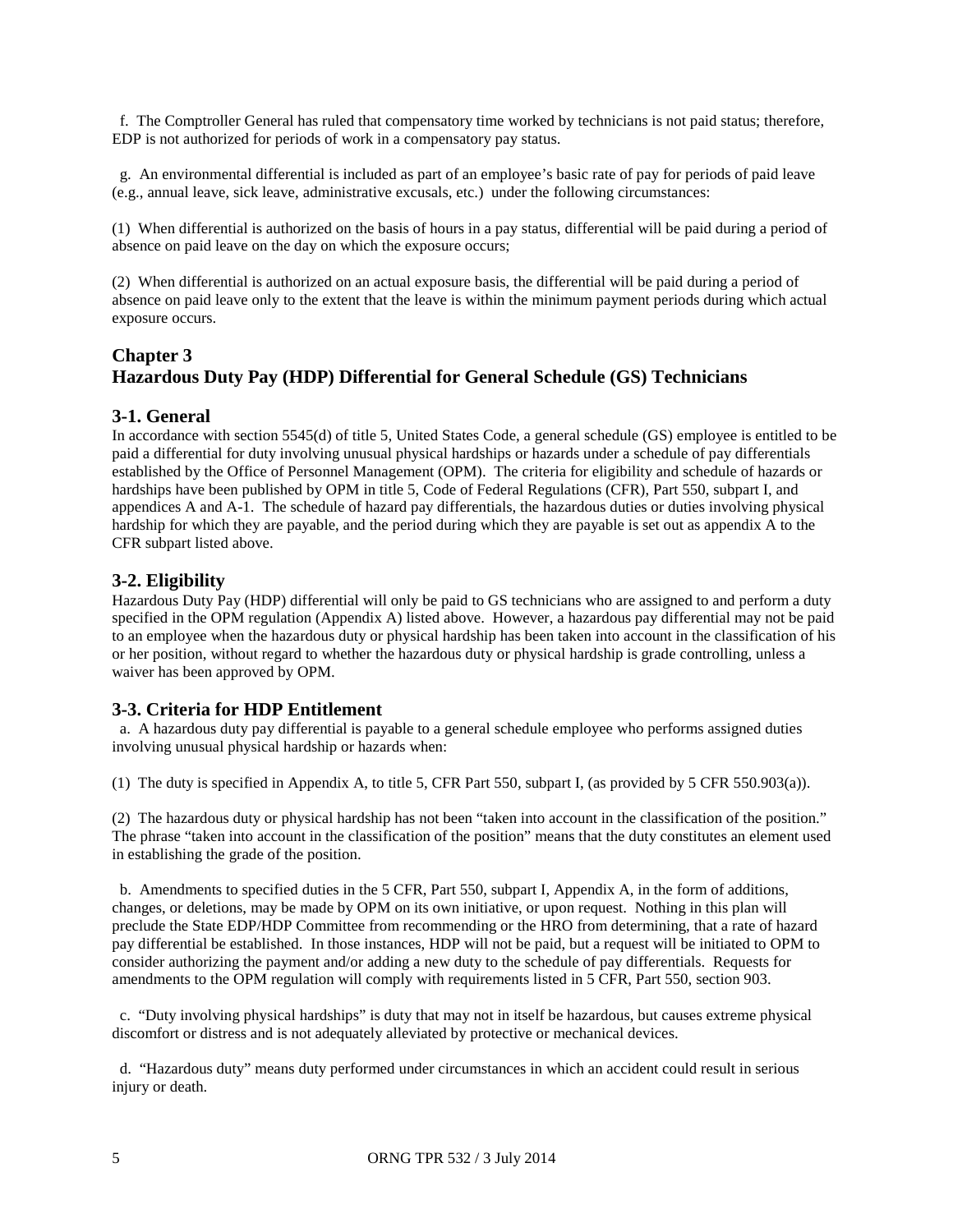f. The Comptroller General has ruled that compensatory time worked by technicians is not paid status; therefore, EDP is not authorized for periods of work in a compensatory pay status.

 g. An environmental differential is included as part of an employee's basic rate of pay for periods of paid leave (e.g., annual leave, sick leave, administrative excusals, etc.) under the following circumstances:

(1) When differential is authorized on the basis of hours in a pay status, differential will be paid during a period of absence on paid leave on the day on which the exposure occurs;

(2) When differential is authorized on an actual exposure basis, the differential will be paid during a period of absence on paid leave only to the extent that the leave is within the minimum payment periods during which actual exposure occurs.

### **Chapter 3 Hazardous Duty Pay (HDP) Differential for General Schedule (GS) Technicians**

#### **3-1. General**

In accordance with section 5545(d) of title 5, United States Code, a general schedule (GS) employee is entitled to be paid a differential for duty involving unusual physical hardships or hazards under a schedule of pay differentials established by the Office of Personnel Management (OPM). The criteria for eligibility and schedule of hazards or hardships have been published by OPM in title 5, Code of Federal Regulations (CFR), Part 550, subpart I, and appendices A and A-1. The schedule of hazard pay differentials, the hazardous duties or duties involving physical hardship for which they are payable, and the period during which they are payable is set out as appendix A to the CFR subpart listed above.

#### **3-2. Eligibility**

Hazardous Duty Pay (HDP) differential will only be paid to GS technicians who are assigned to and perform a duty specified in the OPM regulation (Appendix A) listed above. However, a hazardous pay differential may not be paid to an employee when the hazardous duty or physical hardship has been taken into account in the classification of his or her position, without regard to whether the hazardous duty or physical hardship is grade controlling, unless a waiver has been approved by OPM.

#### **3-3. Criteria for HDP Entitlement**

 a. A hazardous duty pay differential is payable to a general schedule employee who performs assigned duties involving unusual physical hardship or hazards when:

(1) The duty is specified in Appendix A, to title 5, CFR Part 550, subpart I, (as provided by 5 CFR 550.903(a)).

(2) The hazardous duty or physical hardship has not been "taken into account in the classification of the position." The phrase "taken into account in the classification of the position" means that the duty constitutes an element used in establishing the grade of the position.

 b. Amendments to specified duties in the 5 CFR, Part 550, subpart I, Appendix A, in the form of additions, changes, or deletions, may be made by OPM on its own initiative, or upon request. Nothing in this plan will preclude the State EDP/HDP Committee from recommending or the HRO from determining, that a rate of hazard pay differential be established. In those instances, HDP will not be paid, but a request will be initiated to OPM to consider authorizing the payment and/or adding a new duty to the schedule of pay differentials. Requests for amendments to the OPM regulation will comply with requirements listed in 5 CFR, Part 550, section 903.

 c. "Duty involving physical hardships" is duty that may not in itself be hazardous, but causes extreme physical discomfort or distress and is not adequately alleviated by protective or mechanical devices.

 d. "Hazardous duty" means duty performed under circumstances in which an accident could result in serious injury or death.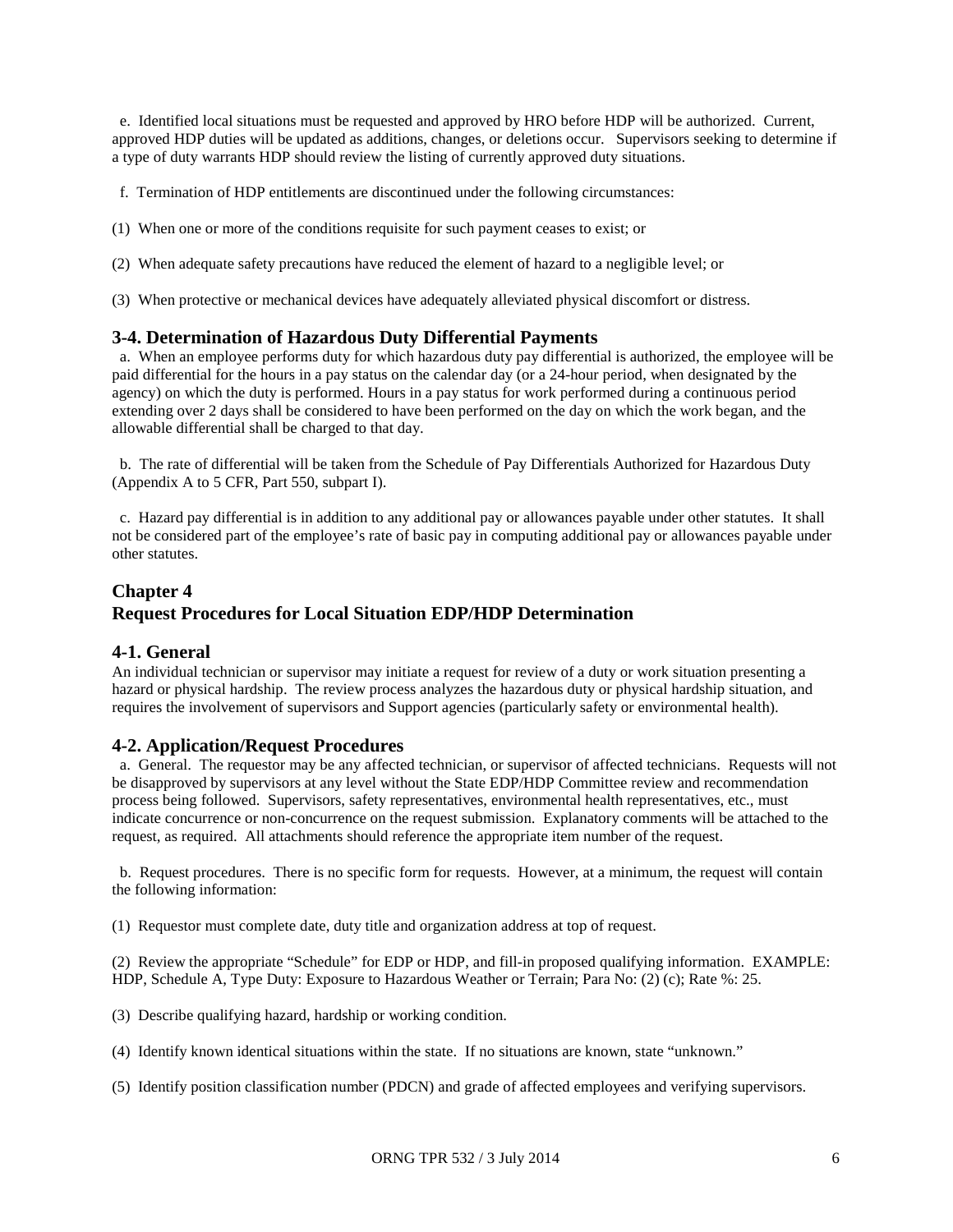e. Identified local situations must be requested and approved by HRO before HDP will be authorized. Current, approved HDP duties will be updated as additions, changes, or deletions occur. Supervisors seeking to determine if a type of duty warrants HDP should review the listing of currently approved duty situations.

f. Termination of HDP entitlements are discontinued under the following circumstances:

- (1) When one or more of the conditions requisite for such payment ceases to exist; or
- (2) When adequate safety precautions have reduced the element of hazard to a negligible level; or
- (3) When protective or mechanical devices have adequately alleviated physical discomfort or distress.

#### **3-4. Determination of Hazardous Duty Differential Payments**

a. When an employee performs duty for which hazardous duty pay differential is authorized, the employee will be paid differential for the hours in a pay status on the calendar day (or a 24-hour period, when designated by the agency) on which the duty is performed. Hours in a pay status for work performed during a continuous period extending over 2 days shall be considered to have been performed on the day on which the work began, and the allowable differential shall be charged to that day.

 b. The rate of differential will be taken from the Schedule of Pay Differentials Authorized for Hazardous Duty (Appendix A to 5 CFR, Part 550, subpart I).

 c. Hazard pay differential is in addition to any additional pay or allowances payable under other statutes. It shall not be considered part of the employee's rate of basic pay in computing additional pay or allowances payable under other statutes.

### **Chapter 4 Request Procedures for Local Situation EDP/HDP Determination**

#### **4-1. General**

An individual technician or supervisor may initiate a request for review of a duty or work situation presenting a hazard or physical hardship. The review process analyzes the hazardous duty or physical hardship situation, and requires the involvement of supervisors and Support agencies (particularly safety or environmental health).

#### **4-2. Application/Request Procedures**

 a. General. The requestor may be any affected technician, or supervisor of affected technicians. Requests will not be disapproved by supervisors at any level without the State EDP/HDP Committee review and recommendation process being followed. Supervisors, safety representatives, environmental health representatives, etc., must indicate concurrence or non-concurrence on the request submission. Explanatory comments will be attached to the request, as required. All attachments should reference the appropriate item number of the request.

 b. Request procedures. There is no specific form for requests. However, at a minimum, the request will contain the following information:

(1) Requestor must complete date, duty title and organization address at top of request.

(2) Review the appropriate "Schedule" for EDP or HDP, and fill-in proposed qualifying information. EXAMPLE: HDP, Schedule A, Type Duty: Exposure to Hazardous Weather or Terrain; Para No: (2) (c); Rate %: 25.

- (3) Describe qualifying hazard, hardship or working condition.
- (4) Identify known identical situations within the state. If no situations are known, state "unknown."
- (5) Identify position classification number (PDCN) and grade of affected employees and verifying supervisors.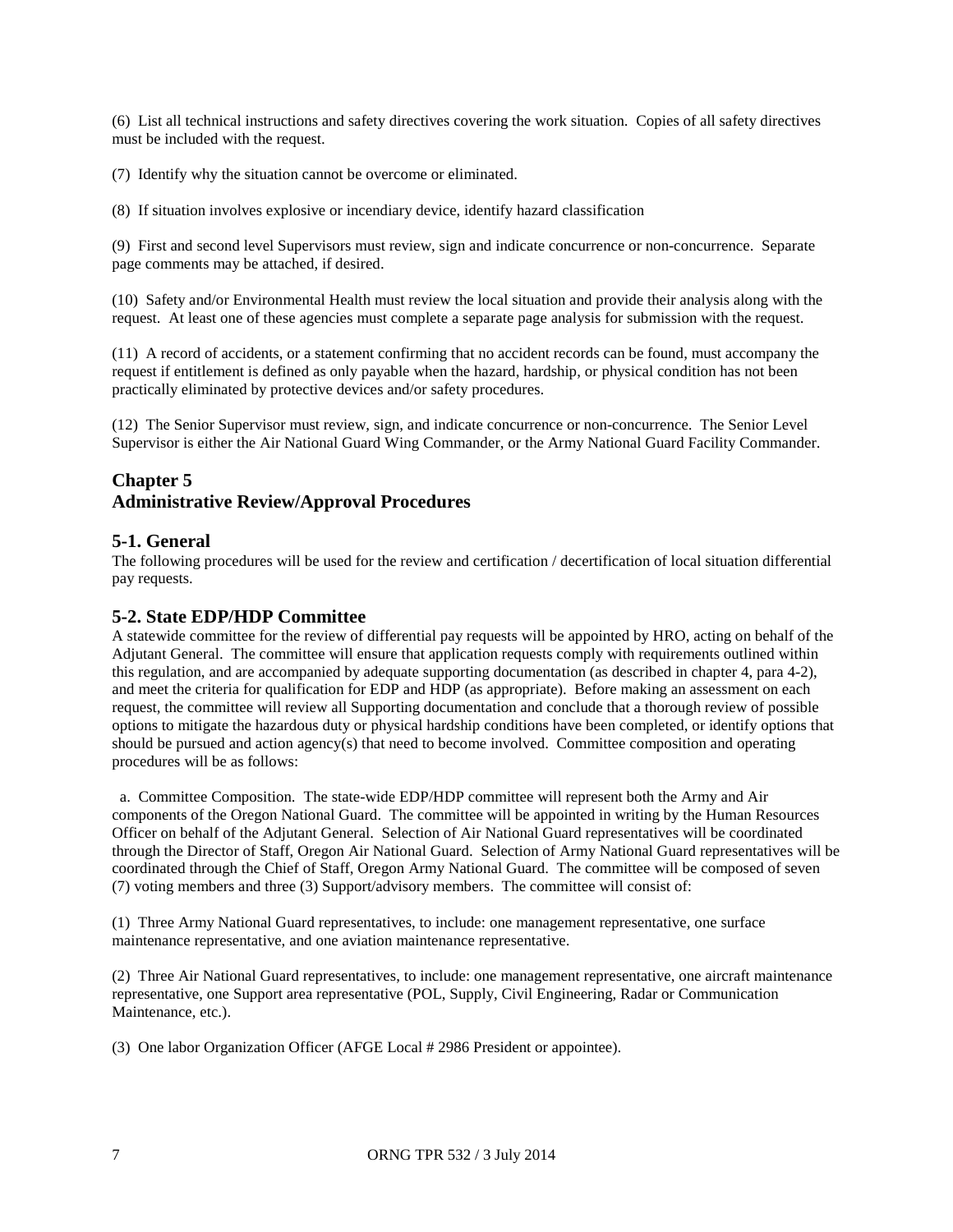(6) List all technical instructions and safety directives covering the work situation. Copies of all safety directives must be included with the request.

(7) Identify why the situation cannot be overcome or eliminated.

(8) If situation involves explosive or incendiary device, identify hazard classification

(9) First and second level Supervisors must review, sign and indicate concurrence or non-concurrence. Separate page comments may be attached, if desired.

(10) Safety and/or Environmental Health must review the local situation and provide their analysis along with the request. At least one of these agencies must complete a separate page analysis for submission with the request.

(11) A record of accidents, or a statement confirming that no accident records can be found, must accompany the request if entitlement is defined as only payable when the hazard, hardship, or physical condition has not been practically eliminated by protective devices and/or safety procedures.

(12) The Senior Supervisor must review, sign, and indicate concurrence or non-concurrence. The Senior Level Supervisor is either the Air National Guard Wing Commander, or the Army National Guard Facility Commander.

### **Chapter 5 Administrative Review/Approval Procedures**

**5-1. General**<br>The following procedures will be used for the review and certification / decertification of local situation differential pay requests.

#### **5-2. State EDP/HDP Committee**

A statewide committee for the review of differential pay requests will be appointed by HRO, acting on behalf of the Adjutant General. The committee will ensure that application requests comply with requirements outlined within this regulation, and are accompanied by adequate supporting documentation (as described in chapter 4, para 4-2), and meet the criteria for qualification for EDP and HDP (as appropriate). Before making an assessment on each request, the committee will review all Supporting documentation and conclude that a thorough review of possible options to mitigate the hazardous duty or physical hardship conditions have been completed, or identify options that should be pursued and action agency(s) that need to become involved. Committee composition and operating procedures will be as follows:

 a. Committee Composition. The state-wide EDP/HDP committee will represent both the Army and Air components of the Oregon National Guard. The committee will be appointed in writing by the Human Resources Officer on behalf of the Adjutant General. Selection of Air National Guard representatives will be coordinated through the Director of Staff, Oregon Air National Guard. Selection of Army National Guard representatives will be coordinated through the Chief of Staff, Oregon Army National Guard. The committee will be composed of seven (7) voting members and three (3) Support/advisory members. The committee will consist of:

(1) Three Army National Guard representatives, to include: one management representative, one surface maintenance representative, and one aviation maintenance representative.

(2) Three Air National Guard representatives, to include: one management representative, one aircraft maintenance representative, one Support area representative (POL, Supply, Civil Engineering, Radar or Communication Maintenance, etc.).

(3) One labor Organization Officer (AFGE Local # 2986 President or appointee).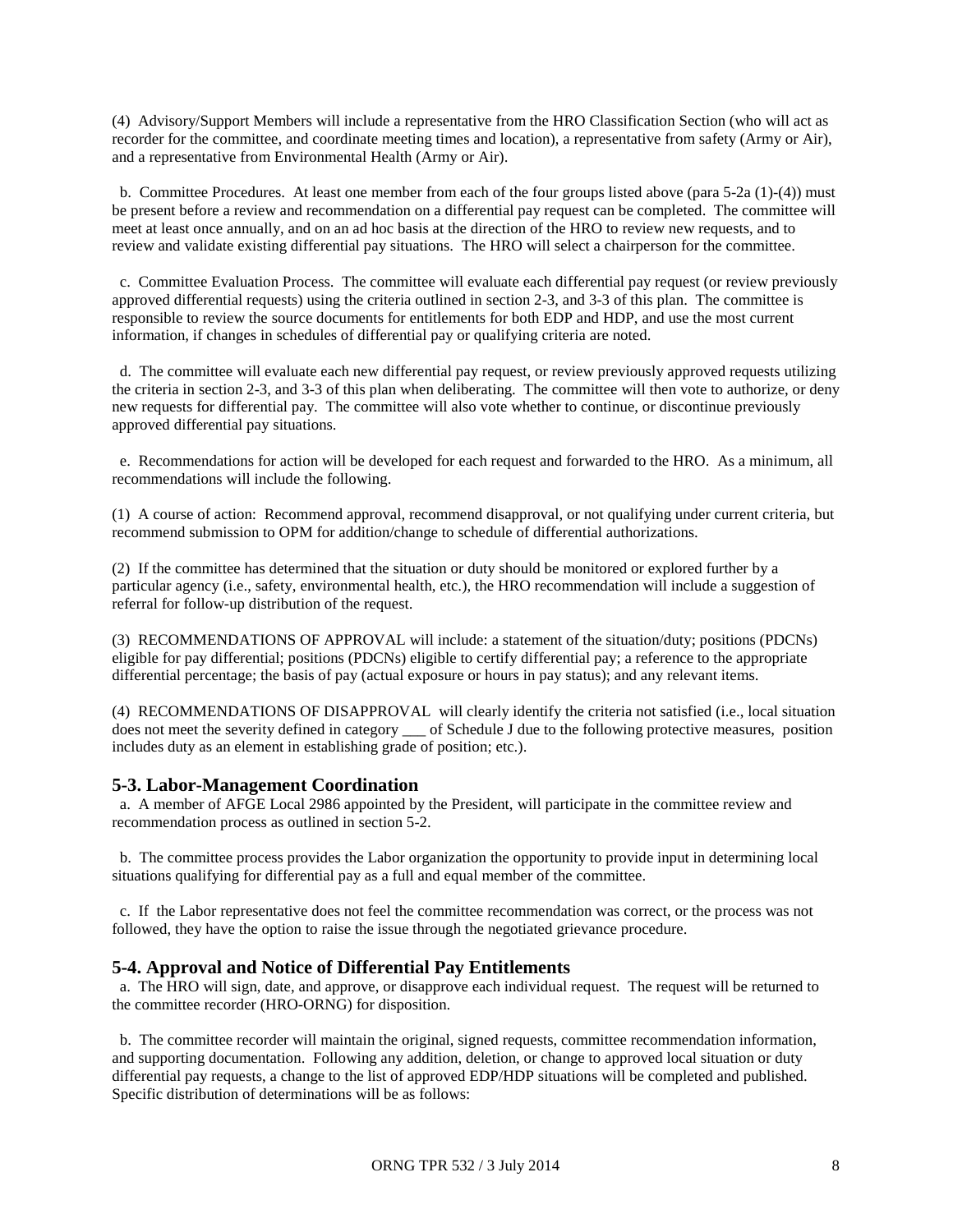(4) Advisory/Support Members will include a representative from the HRO Classification Section (who will act as recorder for the committee, and coordinate meeting times and location), a representative from safety (Army or Air), and a representative from Environmental Health (Army or Air).

 b. Committee Procedures. At least one member from each of the four groups listed above (para 5-2a (1)-(4)) must be present before a review and recommendation on a differential pay request can be completed. The committee will meet at least once annually, and on an ad hoc basis at the direction of the HRO to review new requests, and to review and validate existing differential pay situations. The HRO will select a chairperson for the committee.

 c. Committee Evaluation Process. The committee will evaluate each differential pay request (or review previously approved differential requests) using the criteria outlined in section 2-3, and 3-3 of this plan. The committee is responsible to review the source documents for entitlements for both EDP and HDP, and use the most current information, if changes in schedules of differential pay or qualifying criteria are noted.

 d. The committee will evaluate each new differential pay request, or review previously approved requests utilizing the criteria in section 2-3, and 3-3 of this plan when deliberating. The committee will then vote to authorize, or deny new requests for differential pay. The committee will also vote whether to continue, or discontinue previously approved differential pay situations.

 e. Recommendations for action will be developed for each request and forwarded to the HRO. As a minimum, all recommendations will include the following.

(1) A course of action: Recommend approval, recommend disapproval, or not qualifying under current criteria, but recommend submission to OPM for addition/change to schedule of differential authorizations.

(2) If the committee has determined that the situation or duty should be monitored or explored further by a particular agency (i.e., safety, environmental health, etc.), the HRO recommendation will include a suggestion of referral for follow-up distribution of the request.

(3) RECOMMENDATIONS OF APPROVAL will include: a statement of the situation/duty; positions (PDCNs) eligible for pay differential; positions (PDCNs) eligible to certify differential pay; a reference to the appropriate differential percentage; the basis of pay (actual exposure or hours in pay status); and any relevant items.

(4) RECOMMENDATIONS OF DISAPPROVAL will clearly identify the criteria not satisfied (i.e., local situation does not meet the severity defined in category of Schedule J due to the following protective measures, position includes duty as an element in establishing grade of position; etc.).

#### **5-3. Labor-Management Coordination**

 a. A member of AFGE Local 2986 appointed by the President, will participate in the committee review and recommendation process as outlined in section 5-2.

 b. The committee process provides the Labor organization the opportunity to provide input in determining local situations qualifying for differential pay as a full and equal member of the committee.

 c. If the Labor representative does not feel the committee recommendation was correct, or the process was not followed, they have the option to raise the issue through the negotiated grievance procedure.

#### **5-4. Approval and Notice of Differential Pay Entitlements**

 a. The HRO will sign, date, and approve, or disapprove each individual request. The request will be returned to the committee recorder (HRO-ORNG) for disposition.

 b. The committee recorder will maintain the original, signed requests, committee recommendation information, and supporting documentation. Following any addition, deletion, or change to approved local situation or duty differential pay requests, a change to the list of approved EDP/HDP situations will be completed and published. Specific distribution of determinations will be as follows: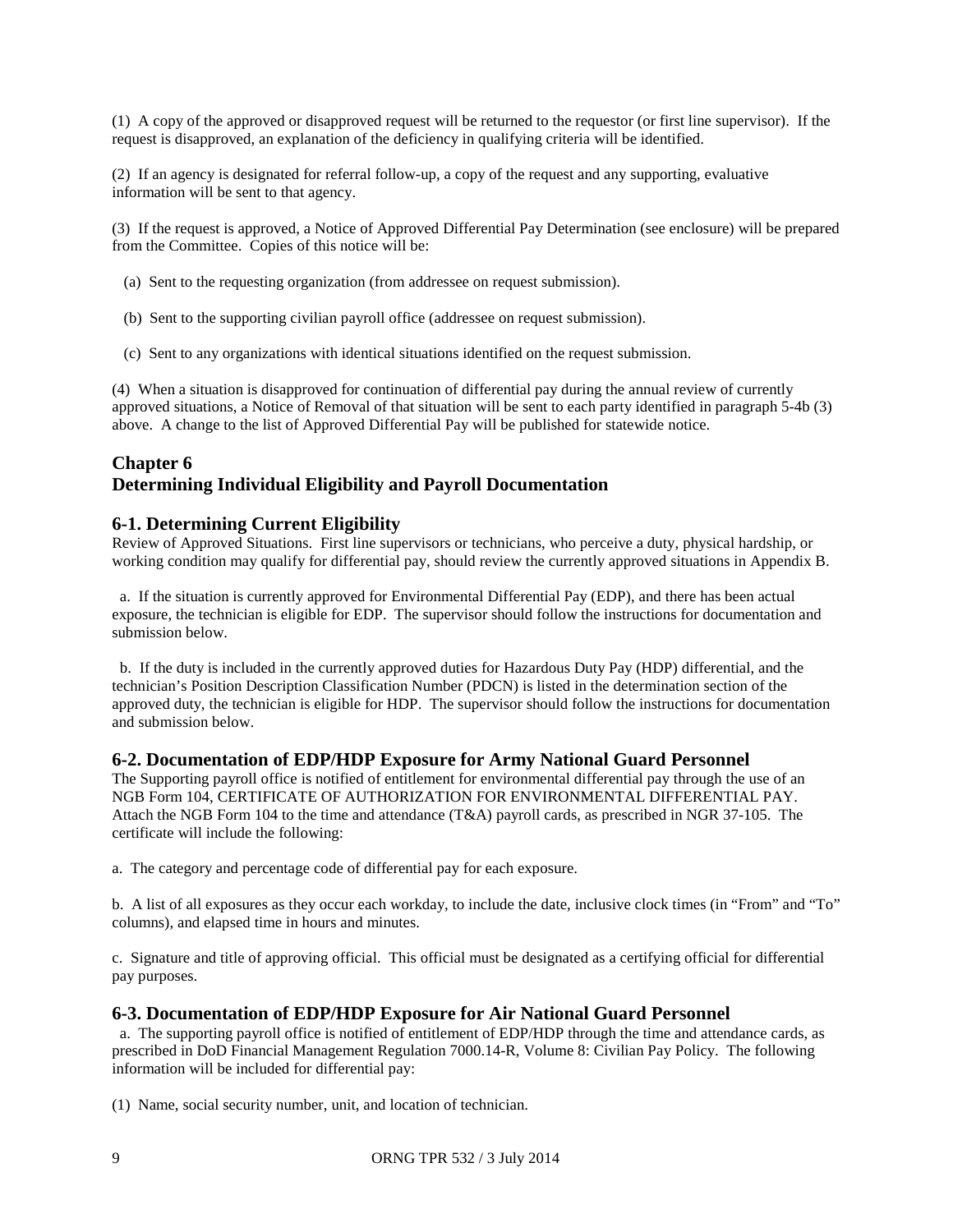(1) A copy of the approved or disapproved request will be returned to the requestor (or first line supervisor). If the request is disapproved, an explanation of the deficiency in qualifying criteria will be identified.

(2) If an agency is designated for referral follow-up, a copy of the request and any supporting, evaluative information will be sent to that agency.

(3) If the request is approved, a Notice of Approved Differential Pay Determination (see enclosure) will be prepared from the Committee. Copies of this notice will be:

- (a) Sent to the requesting organization (from addressee on request submission).
- (b) Sent to the supporting civilian payroll office (addressee on request submission).
- (c) Sent to any organizations with identical situations identified on the request submission.

(4) When a situation is disapproved for continuation of differential pay during the annual review of currently approved situations, a Notice of Removal of that situation will be sent to each party identified in paragraph 5-4b (3) above. A change to the list of Approved Differential Pay will be published for statewide notice.

### **Chapter 6 Determining Individual Eligibility and Payroll Documentation**

#### **6-1. Determining Current Eligibility**

Review of Approved Situations. First line supervisors or technicians, who perceive a duty, physical hardship, or working condition may qualify for differential pay, should review the currently approved situations in Appendix B.

 a. If the situation is currently approved for Environmental Differential Pay (EDP), and there has been actual exposure, the technician is eligible for EDP. The supervisor should follow the instructions for documentation and submission below.

 b. If the duty is included in the currently approved duties for Hazardous Duty Pay (HDP) differential, and the technician's Position Description Classification Number (PDCN) is listed in the determination section of the approved duty, the technician is eligible for HDP. The supervisor should follow the instructions for documentation and submission below.

#### **6-2. Documentation of EDP/HDP Exposure for Army National Guard Personnel**

The Supporting payroll office is notified of entitlement for environmental differential pay through the use of an NGB Form 104, CERTIFICATE OF AUTHORIZATION FOR ENVIRONMENTAL DIFFERENTIAL PAY. Attach the NGB Form 104 to the time and attendance (T&A) payroll cards, as prescribed in NGR 37-105. The certificate will include the following:

a. The category and percentage code of differential pay for each exposure.

b. A list of all exposures as they occur each workday, to include the date, inclusive clock times (in "From" and "To" columns), and elapsed time in hours and minutes.

c. Signature and title of approving official. This official must be designated as a certifying official for differential pay purposes.

#### **6-3. Documentation of EDP/HDP Exposure for Air National Guard Personnel**

 a. The supporting payroll office is notified of entitlement of EDP/HDP through the time and attendance cards, as prescribed in DoD Financial Management Regulation 7000.14-R, Volume 8: Civilian Pay Policy. The following information will be included for differential pay:

(1) Name, social security number, unit, and location of technician.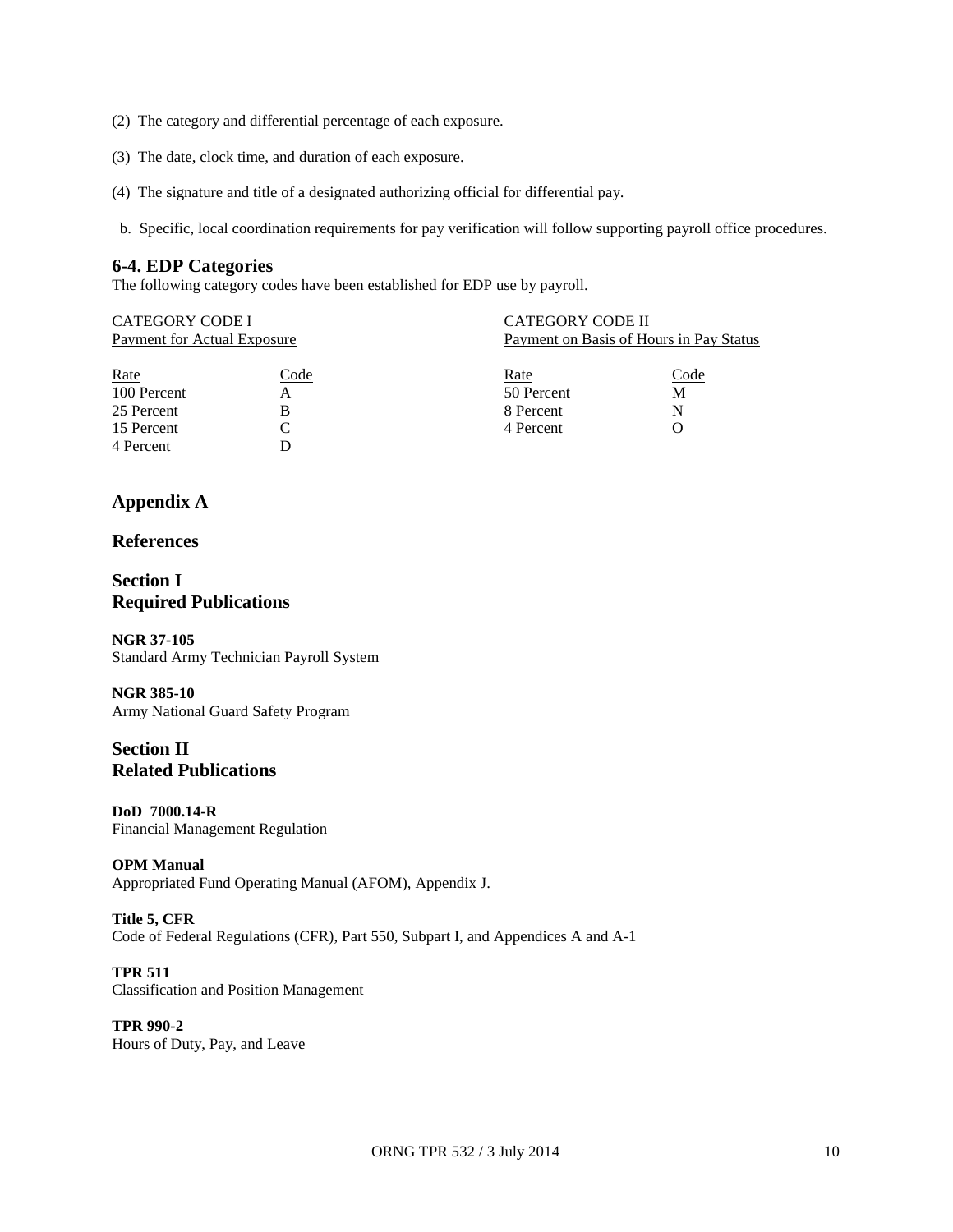- (2) The category and differential percentage of each exposure.
- (3) The date, clock time, and duration of each exposure.
- (4) The signature and title of a designated authorizing official for differential pay.
- b. Specific, local coordination requirements for pay verification will follow supporting payroll office procedures.

#### **6-4. EDP Categories**

The following category codes have been established for EDP use by payroll.

| CATEGORY CODE I             |      |            | <b>CATEGORY CODE II</b>                 |  |  |  |
|-----------------------------|------|------------|-----------------------------------------|--|--|--|
| Payment for Actual Exposure |      |            | Payment on Basis of Hours in Pay Status |  |  |  |
|                             |      |            |                                         |  |  |  |
| Rate                        | Code | Rate       | Code                                    |  |  |  |
| 100 Percent                 | А    | 50 Percent | М                                       |  |  |  |
| 25 Percent                  | В    | 8 Percent  | N                                       |  |  |  |
| 15 Percent                  |      | 4 Percent  |                                         |  |  |  |
| 4 Percent                   |      |            |                                         |  |  |  |

### **Appendix A**

#### **References**

#### **Section I Required Publications**

**NGR 37-105** Standard Army Technician Payroll System

#### **NGR 385-10**

Army National Guard Safety Program

### **Section II Related Publications**

#### **DoD 7000.14-R**

Financial Management Regulation

#### **OPM Manual**

Appropriated Fund Operating Manual (AFOM), Appendix J.

#### **Title 5, CFR**

Code of Federal Regulations (CFR), Part 550, Subpart I, and Appendices A and A-1

#### **TPR 511**

Classification and Position Management

#### **TPR 990-2** Hours of Duty, Pay, and Leave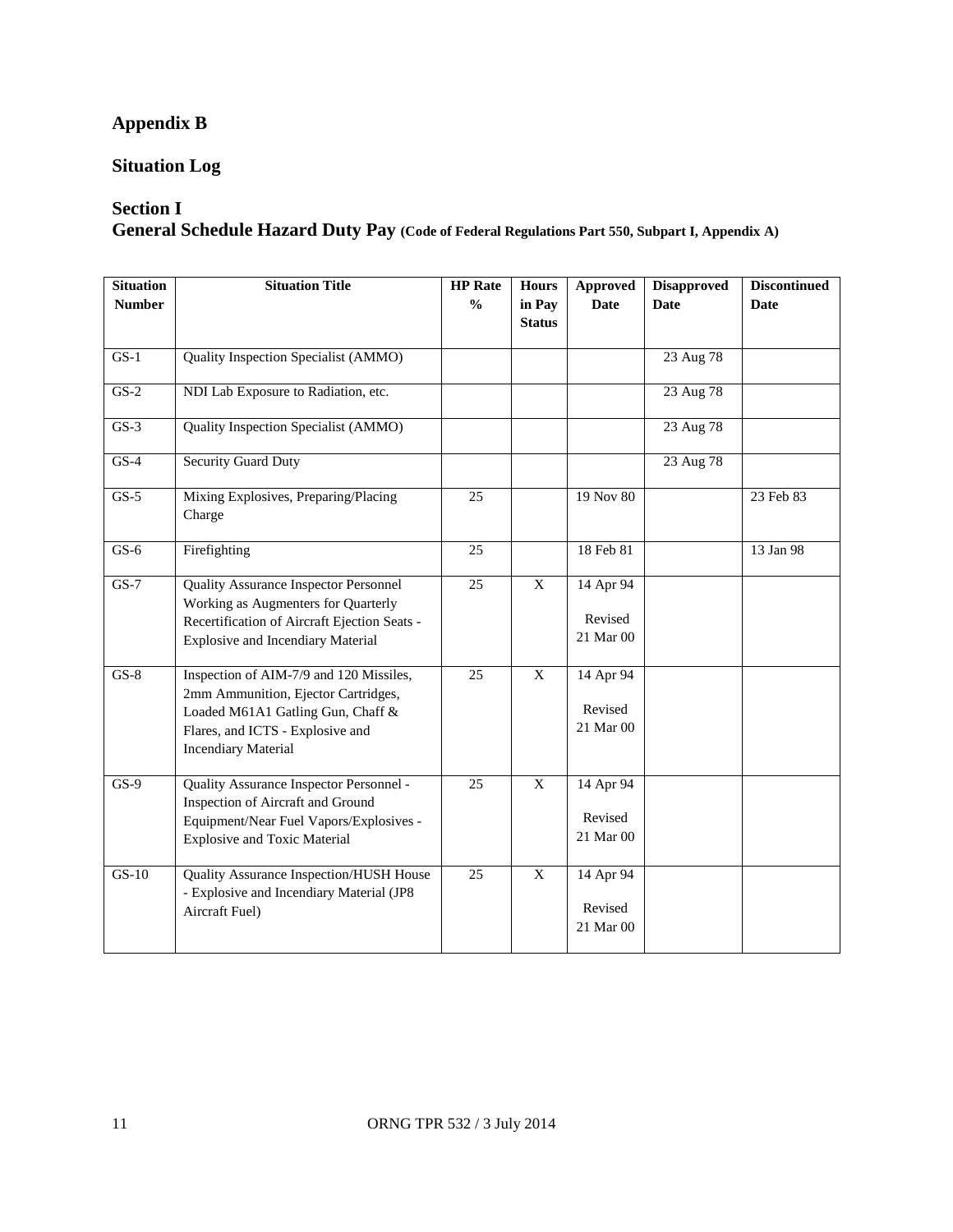## **Appendix B**

### **Situation Log**

### **Section I**

**General Schedule Hazard Duty Pay (Code of Federal Regulations Part 550, Subpart I, Appendix A)**

| <b>Situation</b><br><b>Number</b> | <b>Situation Title</b>                                                                                                                                                                | <b>HP</b> Rate<br>$\frac{0}{0}$ | <b>Hours</b><br>in Pay<br><b>Status</b> | Approved<br><b>Date</b>                        | <b>Disapproved</b><br><b>Date</b> | <b>Discontinued</b><br>Date |
|-----------------------------------|---------------------------------------------------------------------------------------------------------------------------------------------------------------------------------------|---------------------------------|-----------------------------------------|------------------------------------------------|-----------------------------------|-----------------------------|
| $GS-1$                            | Quality Inspection Specialist (AMMO)                                                                                                                                                  |                                 |                                         |                                                | 23 Aug 78                         |                             |
| $GS-2$                            | NDI Lab Exposure to Radiation, etc.                                                                                                                                                   |                                 |                                         |                                                | 23 Aug 78                         |                             |
| $GS-3$                            | Quality Inspection Specialist (AMMO)                                                                                                                                                  |                                 |                                         |                                                | 23 Aug 78                         |                             |
| $GS-4$                            | <b>Security Guard Duty</b>                                                                                                                                                            |                                 |                                         |                                                | 23 Aug 78                         |                             |
| $GS-5$                            | Mixing Explosives, Preparing/Placing<br>Charge                                                                                                                                        | 25                              |                                         | 19 Nov 80                                      |                                   | 23 Feb 83                   |
| $GS-6$                            | Firefighting                                                                                                                                                                          | 25                              |                                         | 18 Feb 81                                      |                                   | 13 Jan 98                   |
| $GS-7$                            | <b>Quality Assurance Inspector Personnel</b><br>Working as Augmenters for Quarterly<br>Recertification of Aircraft Ejection Seats -<br><b>Explosive and Incendiary Material</b>       | 25                              | X                                       | $\overline{14}$ Apr 94<br>Revised<br>21 Mar 00 |                                   |                             |
| $GS-8$                            | Inspection of AIM-7/9 and 120 Missiles,<br>2mm Ammunition, Ejector Cartridges,<br>Loaded M61A1 Gatling Gun, Chaff &<br>Flares, and ICTS - Explosive and<br><b>Incendiary Material</b> | 25                              | $\mathbf X$                             | 14 Apr 94<br>Revised<br>21 Mar 00              |                                   |                             |
| $GS-9$                            | Quality Assurance Inspector Personnel -<br>Inspection of Aircraft and Ground<br>Equipment/Near Fuel Vapors/Explosives -<br><b>Explosive and Toxic Material</b>                        | $\overline{25}$                 | $\mathbf X$                             | 14 Apr 94<br>Revised<br>21 Mar 00              |                                   |                             |
| $GS-10$                           | Quality Assurance Inspection/HUSH House<br>- Explosive and Incendiary Material (JP8<br>Aircraft Fuel)                                                                                 | $\overline{25}$                 | $\overline{X}$                          | 14 Apr 94<br>Revised<br>21 Mar 00              |                                   |                             |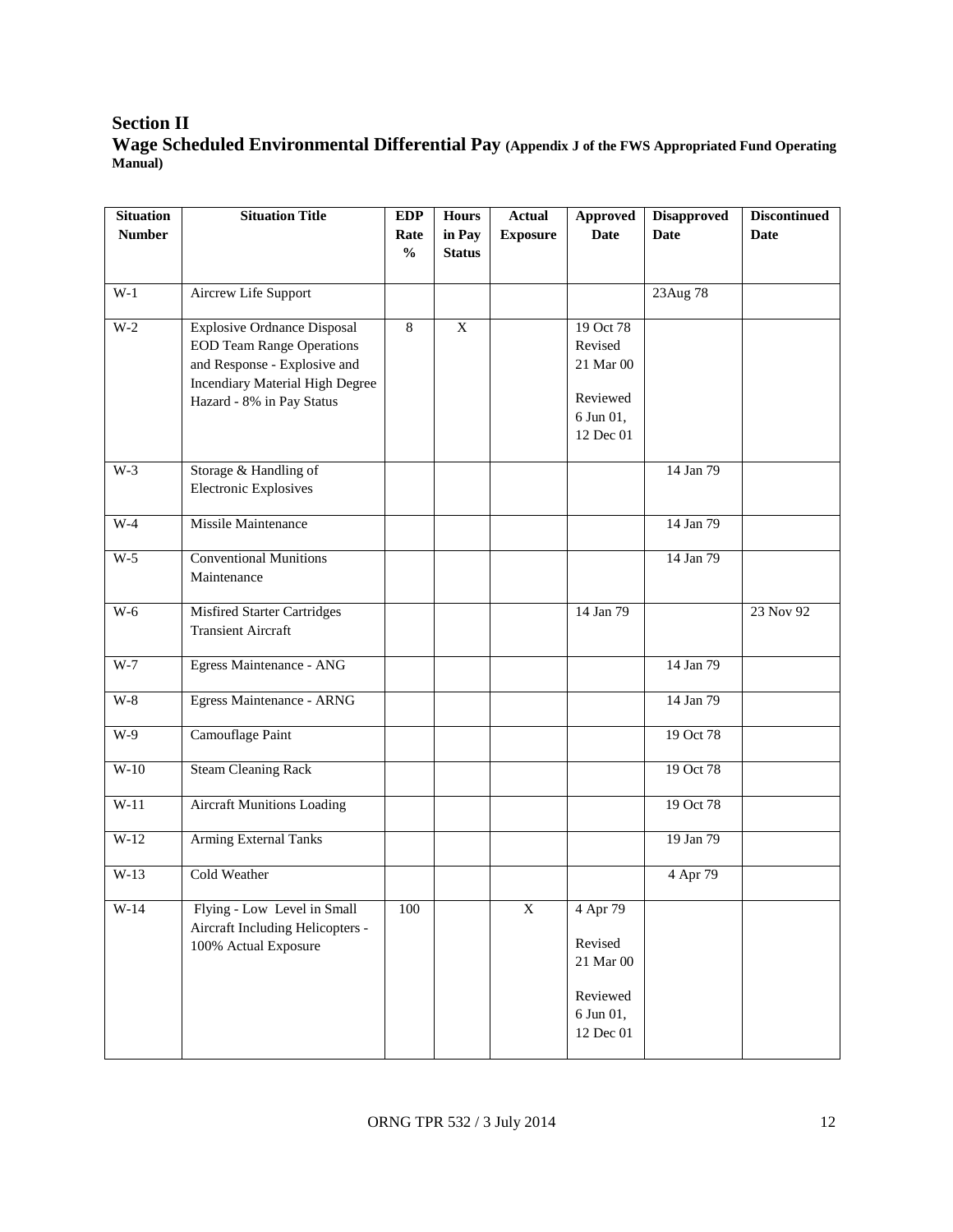### **Section II Wage Scheduled Environmental Differential Pay (Appendix J of the FWS Appropriated Fund Operating Manual)**

| <b>Situation</b> | <b>Situation Title</b>                 | <b>EDP</b>    | <b>Hours</b>   | <b>Actual</b>   | <b>Approved</b> | <b>Disapproved</b> | <b>Discontinued</b> |
|------------------|----------------------------------------|---------------|----------------|-----------------|-----------------|--------------------|---------------------|
| <b>Number</b>    |                                        | Rate          | in Pay         | <b>Exposure</b> | <b>Date</b>     | <b>Date</b>        | <b>Date</b>         |
|                  |                                        | $\frac{0}{0}$ | <b>Status</b>  |                 |                 |                    |                     |
|                  |                                        |               |                |                 |                 |                    |                     |
| $W-1$            | Aircrew Life Support                   |               |                |                 |                 | 23Aug 78           |                     |
| $W-2$            | <b>Explosive Ordnance Disposal</b>     | 8             | $\overline{X}$ |                 | 19 Oct 78       |                    |                     |
|                  | <b>EOD Team Range Operations</b>       |               |                |                 | Revised         |                    |                     |
|                  | and Response - Explosive and           |               |                |                 | 21 Mar 00       |                    |                     |
|                  | <b>Incendiary Material High Degree</b> |               |                |                 |                 |                    |                     |
|                  | Hazard - 8% in Pay Status              |               |                |                 | Reviewed        |                    |                     |
|                  |                                        |               |                |                 | 6 Jun 01,       |                    |                     |
|                  |                                        |               |                |                 | 12 Dec 01       |                    |                     |
|                  |                                        |               |                |                 |                 |                    |                     |
| $W-3$            | Storage & Handling of                  |               |                |                 |                 | 14 Jan 79          |                     |
|                  | <b>Electronic Explosives</b>           |               |                |                 |                 |                    |                     |
|                  |                                        |               |                |                 |                 |                    |                     |
| $W-4$            | Missile Maintenance                    |               |                |                 |                 | 14 Jan 79          |                     |
| $W-5$            | <b>Conventional Munitions</b>          |               |                |                 |                 | 14 Jan 79          |                     |
|                  | Maintenance                            |               |                |                 |                 |                    |                     |
|                  |                                        |               |                |                 |                 |                    |                     |
| $W-6$            | <b>Misfired Starter Cartridges</b>     |               |                |                 | 14 Jan 79       |                    | 23 Nov 92           |
|                  | <b>Transient Aircraft</b>              |               |                |                 |                 |                    |                     |
|                  |                                        |               |                |                 |                 |                    |                     |
| $W-7$            | Egress Maintenance - ANG               |               |                |                 |                 | 14 Jan 79          |                     |
| $W-8$            | <b>Egress Maintenance - ARNG</b>       |               |                |                 |                 | 14 Jan 79          |                     |
|                  |                                        |               |                |                 |                 |                    |                     |
| $W-9$            | Camouflage Paint                       |               |                |                 |                 | 19 Oct 78          |                     |
|                  |                                        |               |                |                 |                 |                    |                     |
| $W-10$           | <b>Steam Cleaning Rack</b>             |               |                |                 |                 | 19 Oct 78          |                     |
|                  |                                        |               |                |                 |                 |                    |                     |
| $W-11$           | <b>Aircraft Munitions Loading</b>      |               |                |                 |                 | 19 Oct 78          |                     |
|                  |                                        |               |                |                 |                 |                    |                     |
| $W-12$           | <b>Arming External Tanks</b>           |               |                |                 |                 | 19 Jan 79          |                     |
| $W-13$           | Cold Weather                           |               |                |                 |                 | 4 Apr 79           |                     |
|                  |                                        |               |                |                 |                 |                    |                     |
| $W-14$           | Flying - Low Level in Small            | $100\,$       |                | $\mathbf X$     | 4 Apr 79        |                    |                     |
|                  | Aircraft Including Helicopters -       |               |                |                 |                 |                    |                     |
|                  | 100% Actual Exposure                   |               |                |                 | Revised         |                    |                     |
|                  |                                        |               |                |                 | 21 Mar 00       |                    |                     |
|                  |                                        |               |                |                 |                 |                    |                     |
|                  |                                        |               |                |                 | Reviewed        |                    |                     |
|                  |                                        |               |                |                 | 6 Jun 01,       |                    |                     |
|                  |                                        |               |                |                 | 12 Dec 01       |                    |                     |
|                  |                                        |               |                |                 |                 |                    |                     |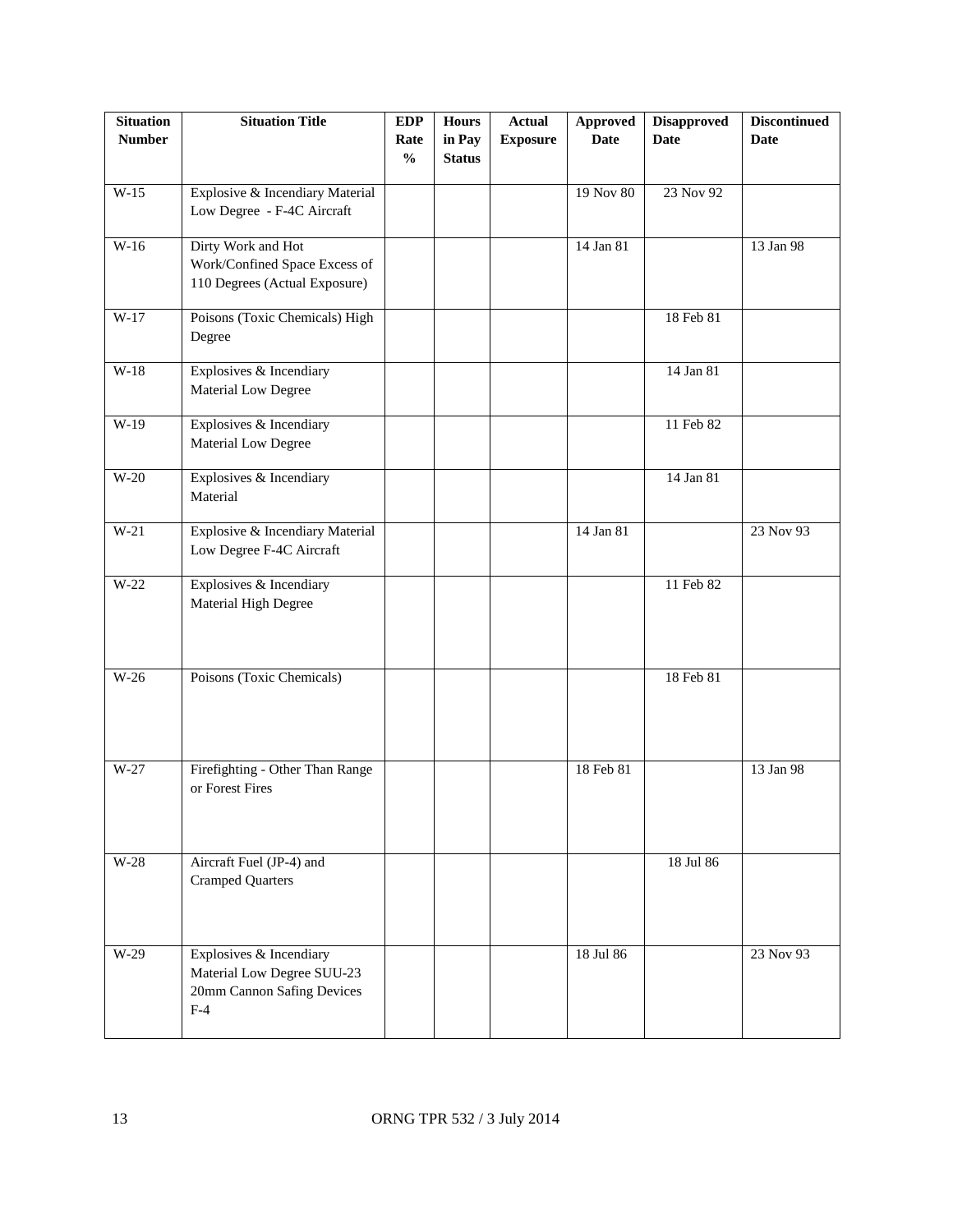| <b>Situation</b><br><b>Number</b> | <b>Situation Title</b>                                                                       | <b>EDP</b><br>Rate<br>$\frac{0}{0}$ | <b>Hours</b><br>in Pay<br><b>Status</b> | <b>Actual</b><br><b>Exposure</b> | <b>Approved</b><br><b>Date</b> | <b>Disapproved</b><br><b>Date</b> | <b>Discontinued</b><br><b>Date</b> |
|-----------------------------------|----------------------------------------------------------------------------------------------|-------------------------------------|-----------------------------------------|----------------------------------|--------------------------------|-----------------------------------|------------------------------------|
| $W-15$                            | Explosive & Incendiary Material<br>Low Degree - F-4C Aircraft                                |                                     |                                         |                                  | 19 Nov 80                      | 23 Nov 92                         |                                    |
| $W-16$                            | Dirty Work and Hot<br>Work/Confined Space Excess of<br>110 Degrees (Actual Exposure)         |                                     |                                         |                                  | 14 Jan 81                      |                                   | 13 Jan 98                          |
| $W-17$                            | Poisons (Toxic Chemicals) High<br>Degree                                                     |                                     |                                         |                                  |                                | 18 Feb 81                         |                                    |
| $W-18$                            | Explosives & Incendiary<br>Material Low Degree                                               |                                     |                                         |                                  |                                | 14 Jan 81                         |                                    |
| $W-19$                            | Explosives & Incendiary<br>Material Low Degree                                               |                                     |                                         |                                  |                                | 11 Feb 82                         |                                    |
| $W-20$                            | Explosives & Incendiary<br>Material                                                          |                                     |                                         |                                  |                                | 14 Jan 81                         |                                    |
| $W-21$                            | Explosive & Incendiary Material<br>Low Degree F-4C Aircraft                                  |                                     |                                         |                                  | 14 Jan 81                      |                                   | 23 Nov 93                          |
| $W-22$                            | Explosives & Incendiary<br>Material High Degree                                              |                                     |                                         |                                  |                                | 11 Feb 82                         |                                    |
| $W-26$                            | Poisons (Toxic Chemicals)                                                                    |                                     |                                         |                                  |                                | 18 Feb 81                         |                                    |
| $W-27$                            | Firefighting - Other Than Range<br>or Forest Fires                                           |                                     |                                         |                                  | 18 Feb 81                      |                                   | 13 Jan 98                          |
| $W-28$                            | Aircraft Fuel (JP-4) and<br><b>Cramped Quarters</b>                                          |                                     |                                         |                                  |                                | 18 Jul 86                         |                                    |
| $W-29$                            | Explosives & Incendiary<br>Material Low Degree SUU-23<br>20mm Cannon Safing Devices<br>$F-4$ |                                     |                                         |                                  | 18 Jul 86                      |                                   | 23 Nov 93                          |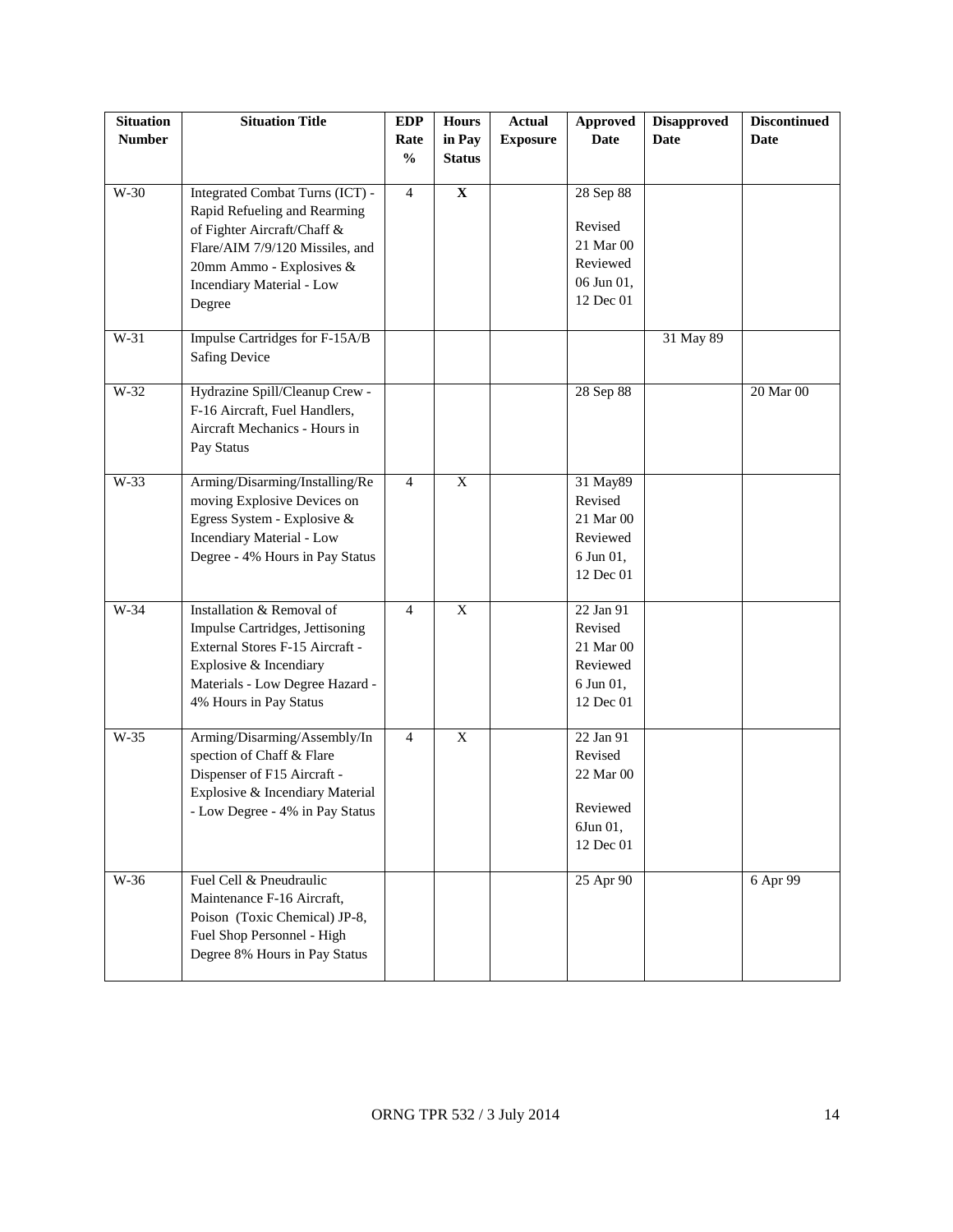| <b>Situation</b> | <b>Situation Title</b>           | <b>EDP</b>     | <b>Hours</b>   | <b>Actual</b>   | <b>Approved</b>       | <b>Disapproved</b> | <b>Discontinued</b> |
|------------------|----------------------------------|----------------|----------------|-----------------|-----------------------|--------------------|---------------------|
| <b>Number</b>    |                                  | Rate           | in Pay         | <b>Exposure</b> | <b>Date</b>           | <b>Date</b>        | Date                |
|                  |                                  | $\frac{0}{0}$  | <b>Status</b>  |                 |                       |                    |                     |
|                  |                                  |                |                |                 |                       |                    |                     |
| $W-30$           | Integrated Combat Turns (ICT) -  | $\overline{4}$ | $\mathbf X$    |                 | 28 Sep 88             |                    |                     |
|                  | Rapid Refueling and Rearming     |                |                |                 |                       |                    |                     |
|                  | of Fighter Aircraft/Chaff &      |                |                |                 | Revised               |                    |                     |
|                  | Flare/AIM 7/9/120 Missiles, and  |                |                |                 | 21 Mar 00             |                    |                     |
|                  | 20mm Ammo - Explosives &         |                |                |                 | Reviewed              |                    |                     |
|                  | Incendiary Material - Low        |                |                |                 | 06 Jun 01,            |                    |                     |
|                  | Degree                           |                |                |                 | 12 Dec 01             |                    |                     |
|                  |                                  |                |                |                 |                       |                    |                     |
| $W-31$           | Impulse Cartridges for F-15A/B   |                |                |                 |                       | 31 May 89          |                     |
|                  | <b>Safing Device</b>             |                |                |                 |                       |                    |                     |
| $W-32$           |                                  |                |                |                 |                       |                    |                     |
|                  | Hydrazine Spill/Cleanup Crew -   |                |                |                 | 28 Sep 88             |                    | 20 Mar 00           |
|                  | F-16 Aircraft, Fuel Handlers,    |                |                |                 |                       |                    |                     |
|                  | Aircraft Mechanics - Hours in    |                |                |                 |                       |                    |                     |
|                  | Pay Status                       |                |                |                 |                       |                    |                     |
| W-33             | Arming/Disarming/Installing/Re   | $\overline{4}$ | $\mathbf X$    |                 | 31 May89              |                    |                     |
|                  | moving Explosive Devices on      |                |                |                 | Revised               |                    |                     |
|                  | Egress System - Explosive &      |                |                |                 | 21 Mar 00             |                    |                     |
|                  | <b>Incendiary Material - Low</b> |                |                |                 | Reviewed              |                    |                     |
|                  | Degree - 4% Hours in Pay Status  |                |                |                 | 6 Jun 01,             |                    |                     |
|                  |                                  |                |                |                 | 12 Dec 01             |                    |                     |
|                  |                                  |                |                |                 |                       |                    |                     |
| $W-34$           | Installation & Removal of        | $\overline{4}$ | $\overline{X}$ |                 | 22 Jan 91             |                    |                     |
|                  | Impulse Cartridges, Jettisoning  |                |                |                 | Revised               |                    |                     |
|                  | External Stores F-15 Aircraft -  |                |                |                 | 21 Mar 00             |                    |                     |
|                  | Explosive & Incendiary           |                |                |                 | Reviewed              |                    |                     |
|                  | Materials - Low Degree Hazard -  |                |                |                 | 6 Jun 01,             |                    |                     |
|                  | 4% Hours in Pay Status           |                |                |                 | 12 Dec 01             |                    |                     |
|                  |                                  |                |                |                 |                       |                    |                     |
| W-35             | Arming/Disarming/Assembly/In     | $\overline{4}$ | X              |                 | 22 Jan 91             |                    |                     |
|                  | spection of Chaff & Flare        |                |                |                 | Revised               |                    |                     |
|                  | Dispenser of F15 Aircraft -      |                |                |                 | 22 Mar 00             |                    |                     |
|                  | Explosive & Incendiary Material  |                |                |                 | Reviewed              |                    |                     |
|                  | - Low Degree - 4% in Pay Status  |                |                |                 |                       |                    |                     |
|                  |                                  |                |                |                 | 6Jun 01,<br>12 Dec 01 |                    |                     |
|                  |                                  |                |                |                 |                       |                    |                     |
| $W-36$           | Fuel Cell & Pneudraulic          |                |                |                 | 25 Apr 90             |                    | 6 Apr 99            |
|                  | Maintenance F-16 Aircraft,       |                |                |                 |                       |                    |                     |
|                  | Poison (Toxic Chemical) JP-8,    |                |                |                 |                       |                    |                     |
|                  | Fuel Shop Personnel - High       |                |                |                 |                       |                    |                     |
|                  | Degree 8% Hours in Pay Status    |                |                |                 |                       |                    |                     |
|                  |                                  |                |                |                 |                       |                    |                     |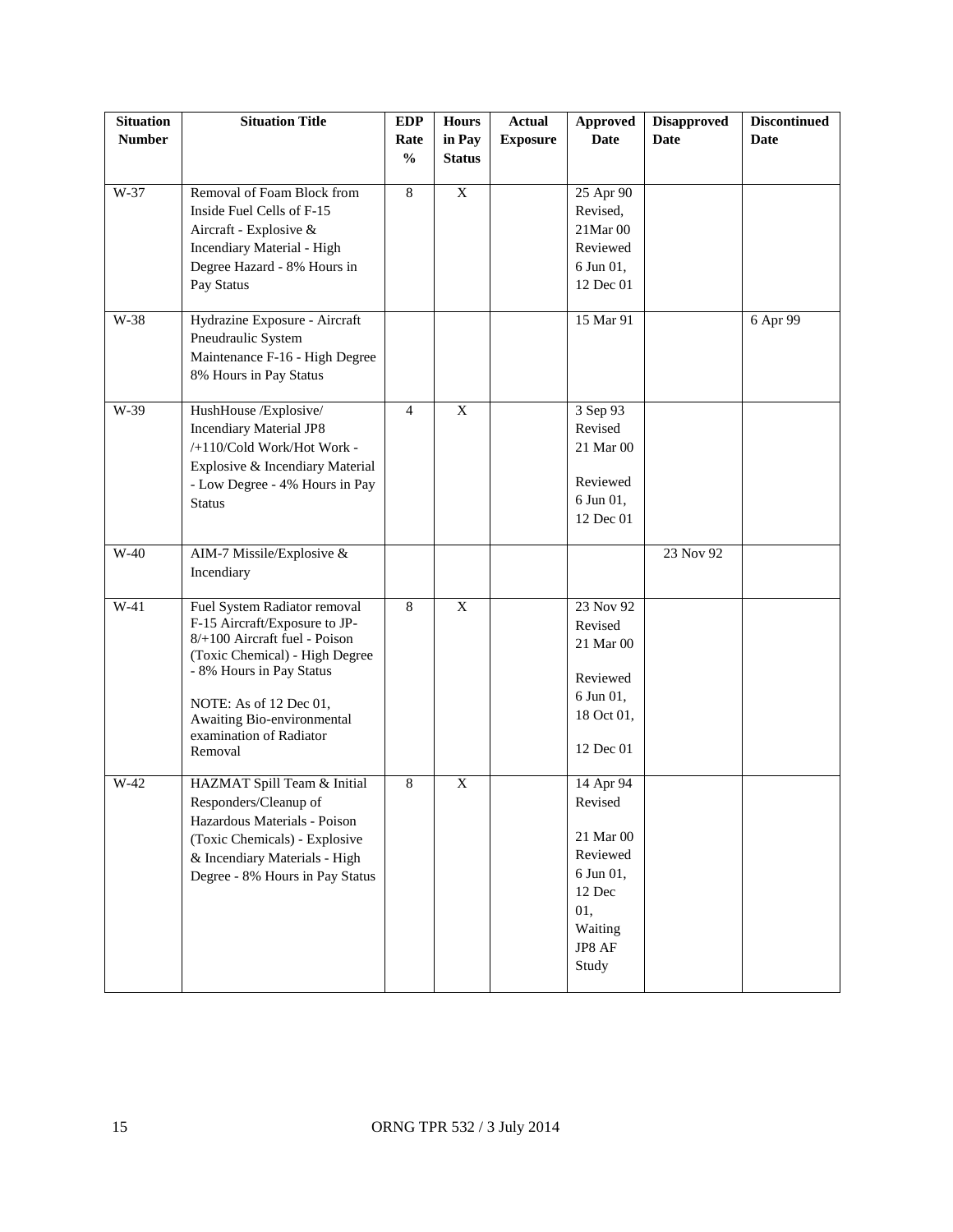| <b>Situation</b> | <b>Situation Title</b>                                         | <b>EDP</b>     | <b>Hours</b>   | <b>Actual</b>   | <b>Approved</b> | <b>Disapproved</b> | <b>Discontinued</b> |
|------------------|----------------------------------------------------------------|----------------|----------------|-----------------|-----------------|--------------------|---------------------|
| <b>Number</b>    |                                                                | Rate           | in Pay         | <b>Exposure</b> | <b>Date</b>     | <b>Date</b>        | <b>Date</b>         |
|                  |                                                                | $\frac{0}{0}$  | <b>Status</b>  |                 |                 |                    |                     |
|                  |                                                                |                |                |                 |                 |                    |                     |
| W-37             | Removal of Foam Block from                                     | 8              | $\overline{X}$ |                 | 25 Apr 90       |                    |                     |
|                  | Inside Fuel Cells of F-15                                      |                |                |                 | Revised,        |                    |                     |
|                  | Aircraft - Explosive &                                         |                |                |                 | 21Mar 00        |                    |                     |
|                  | Incendiary Material - High                                     |                |                |                 | Reviewed        |                    |                     |
|                  | Degree Hazard - 8% Hours in                                    |                |                |                 | 6 Jun 01,       |                    |                     |
|                  | Pay Status                                                     |                |                |                 | 12 Dec 01       |                    |                     |
| W-38             | Hydrazine Exposure - Aircraft                                  |                |                |                 | 15 Mar 91       |                    | 6 Apr 99            |
|                  | Pneudraulic System                                             |                |                |                 |                 |                    |                     |
|                  | Maintenance F-16 - High Degree                                 |                |                |                 |                 |                    |                     |
|                  | 8% Hours in Pay Status                                         |                |                |                 |                 |                    |                     |
|                  |                                                                |                |                |                 |                 |                    |                     |
| W-39             | HushHouse /Explosive/                                          | $\overline{4}$ | $\mathbf X$    |                 | 3 Sep 93        |                    |                     |
|                  | <b>Incendiary Material JP8</b>                                 |                |                |                 | Revised         |                    |                     |
|                  | /+110/Cold Work/Hot Work -                                     |                |                |                 | 21 Mar 00       |                    |                     |
|                  | Explosive & Incendiary Material                                |                |                |                 |                 |                    |                     |
|                  | - Low Degree - 4% Hours in Pay                                 |                |                |                 | Reviewed        |                    |                     |
|                  | <b>Status</b>                                                  |                |                |                 | 6 Jun 01,       |                    |                     |
|                  |                                                                |                |                |                 | 12 Dec 01       |                    |                     |
| $W-40$           | AIM-7 Missile/Explosive &                                      |                |                |                 |                 | 23 Nov 92          |                     |
|                  | Incendiary                                                     |                |                |                 |                 |                    |                     |
|                  |                                                                |                |                |                 |                 |                    |                     |
| $W-41$           | Fuel System Radiator removal                                   | $\overline{8}$ | $\overline{X}$ |                 | 23 Nov 92       |                    |                     |
|                  | F-15 Aircraft/Exposure to JP-<br>8/+100 Aircraft fuel - Poison |                |                |                 | Revised         |                    |                     |
|                  | (Toxic Chemical) - High Degree                                 |                |                |                 | 21 Mar 00       |                    |                     |
|                  | - 8% Hours in Pay Status                                       |                |                |                 | Reviewed        |                    |                     |
|                  |                                                                |                |                |                 | 6 Jun 01,       |                    |                     |
|                  | NOTE: As of 12 Dec 01,<br>Awaiting Bio-environmental           |                |                |                 | 18 Oct 01,      |                    |                     |
|                  | examination of Radiator                                        |                |                |                 |                 |                    |                     |
|                  | Removal                                                        |                |                |                 | 12 Dec 01       |                    |                     |
| W-42             | HAZMAT Spill Team & Initial                                    | 8              | X              |                 | 14 Apr 94       |                    |                     |
|                  | Responders/Cleanup of                                          |                |                |                 | Revised         |                    |                     |
|                  | Hazardous Materials - Poison                                   |                |                |                 |                 |                    |                     |
|                  | (Toxic Chemicals) - Explosive                                  |                |                |                 | 21 Mar 00       |                    |                     |
|                  | & Incendiary Materials - High                                  |                |                |                 | Reviewed        |                    |                     |
|                  | Degree - 8% Hours in Pay Status                                |                |                |                 | 6 Jun 01,       |                    |                     |
|                  |                                                                |                |                |                 | 12 Dec          |                    |                     |
|                  |                                                                |                |                |                 | 01,             |                    |                     |
|                  |                                                                |                |                |                 | Waiting         |                    |                     |
|                  |                                                                |                |                |                 | JP8 AF          |                    |                     |
|                  |                                                                |                |                |                 | Study           |                    |                     |
|                  |                                                                |                |                |                 |                 |                    |                     |